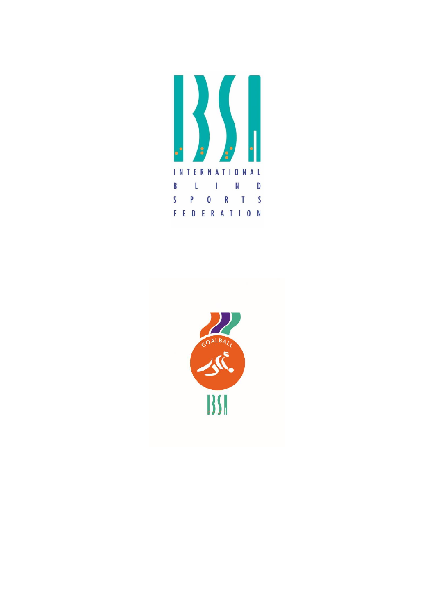

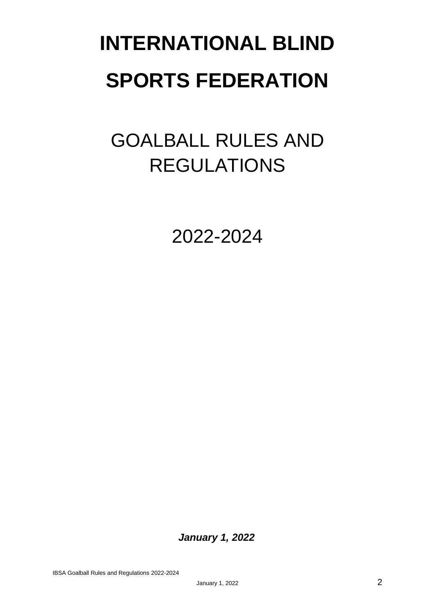# **INTERNATIONAL BLIND SPORTS FEDERATION**

## GOALBALL RULES AND REGULATIONS

2022-2024

*January 1, 2022*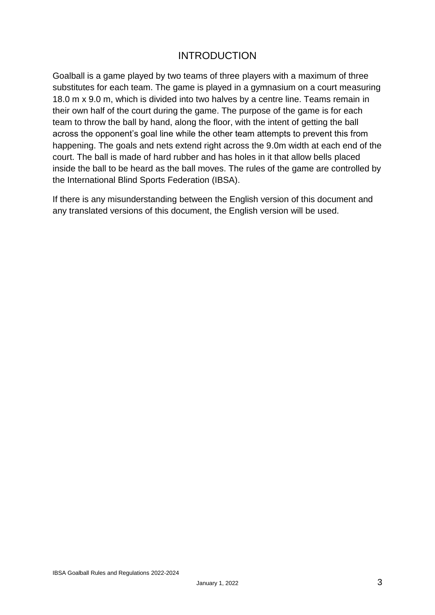#### INTRODUCTION

Goalball is a game played by two teams of three players with a maximum of three substitutes for each team. The game is played in a gymnasium on a court measuring 18.0 m x 9.0 m, which is divided into two halves by a centre line. Teams remain in their own half of the court during the game. The purpose of the game is for each team to throw the ball by hand, along the floor, with the intent of getting the ball across the opponent's goal line while the other team attempts to prevent this from happening. The goals and nets extend right across the 9.0m width at each end of the court. The ball is made of hard rubber and has holes in it that allow bells placed inside the ball to be heard as the ball moves. The rules of the game are controlled by the International Blind Sports Federation (IBSA).

If there is any misunderstanding between the English version of this document and any translated versions of this document, the English version will be used.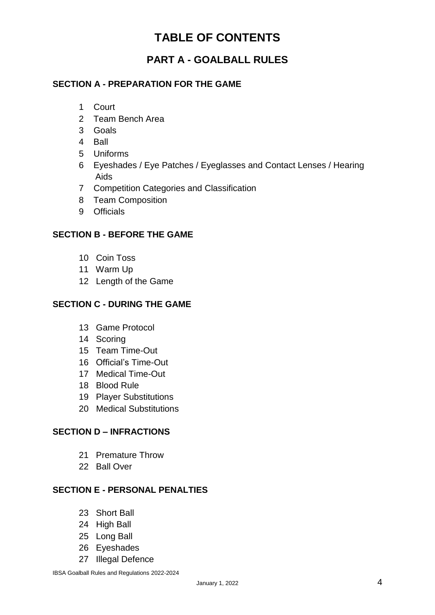### **TABLE OF CONTENTS**

#### **PART A - GOALBALL RULES**

#### **SECTION A - PREPARATION FOR THE GAME**

- 1 Court
- 2 Team Bench Area
- 3 Goals
- 4 Ball
- 5 Uniforms
- 6 Eyeshades / Eye Patches / Eyeglasses and Contact Lenses / Hearing Aids
- 7 Competition Categories and Classification
- 8 Team Composition
- 9 Officials

#### **SECTION B - BEFORE THE GAME**

- 10 Coin Toss
- 11 Warm Up
- 12 Length of the Game

#### **SECTION C - DURING THE GAME**

- 13 Game Protocol
- 14 Scoring
- 15 Team Time-Out
- 16 Official's Time-Out
- 17 Medical Time-Out
- 18 Blood Rule
- 19 Player Substitutions
- 20 Medical Substitutions

#### **SECTION D – INFRACTIONS**

- 21 Premature Throw
- 22 Ball Over

#### **SECTION E - PERSONAL PENALTIES**

- 23 Short Ball
- 24 High Ball
- 25 Long Ball
- 26 Eyeshades
- 27 Illegal Defence

IBSA Goalball Rules and Regulations 2022-2024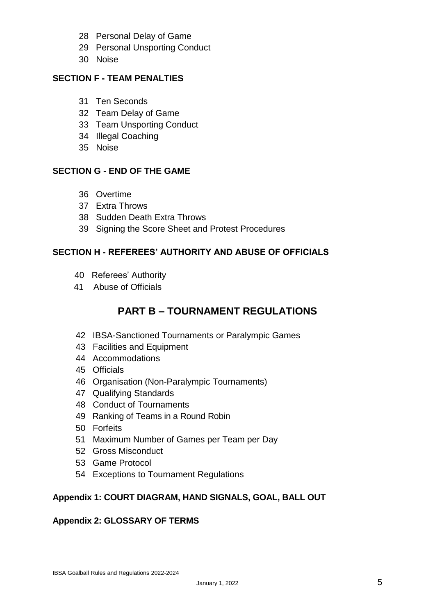- 28 Personal Delay of Game
- 29 Personal Unsporting Conduct
- 30 Noise

#### **SECTION F - TEAM PENALTIES**

- 31 Ten Seconds
- 32 Team Delay of Game
- 33 Team Unsporting Conduct
- 34 Illegal Coaching
- 35 Noise

#### **SECTION G - END OF THE GAME**

- 36 Overtime
- 37 Extra Throws
- 38 Sudden Death Extra Throws
- 39 Signing the Score Sheet and Protest Procedures

#### **SECTION H - REFEREES' AUTHORITY AND ABUSE OF OFFICIALS**

- 40 Referees' Authority
- 41 Abuse of Officials

#### **PART B – TOURNAMENT REGULATIONS**

- 42 IBSA-Sanctioned Tournaments or Paralympic Games
- 43 Facilities and Equipment
- 44 Accommodations
- 45 Officials
- 46 Organisation (Non-Paralympic Tournaments)
- 47 Qualifying Standards
- 48 Conduct of Tournaments
- 49 Ranking of Teams in a Round Robin
- 50 Forfeits
- 51 Maximum Number of Games per Team per Day
- 52 Gross Misconduct
- 53 Game Protocol
- 54 Exceptions to Tournament Regulations

#### **Appendix 1: COURT DIAGRAM, HAND SIGNALS, GOAL, BALL OUT**

#### **Appendix 2: GLOSSARY OF TERMS**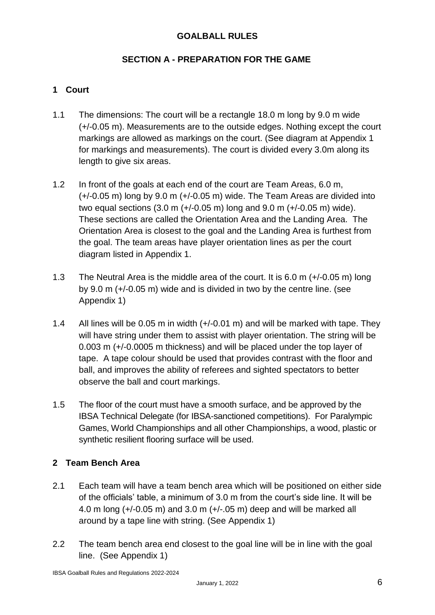#### **GOALBALL RULES**

#### **SECTION A - PREPARATION FOR THE GAME**

#### **1 Court**

- 1.1 The dimensions: The court will be a rectangle 18.0 m long by 9.0 m wide (+/-0.05 m). Measurements are to the outside edges. Nothing except the court markings are allowed as markings on the court. (See diagram at Appendix 1 for markings and measurements). The court is divided every 3.0m along its length to give six areas.
- 1.2 In front of the goals at each end of the court are Team Areas, 6.0 m, (+/-0.05 m) long by 9.0 m (+/-0.05 m) wide. The Team Areas are divided into two equal sections (3.0 m (+/-0.05 m) long and 9.0 m (+/-0.05 m) wide). These sections are called the Orientation Area and the Landing Area. The Orientation Area is closest to the goal and the Landing Area is furthest from the goal. The team areas have player orientation lines as per the court diagram listed in Appendix 1.
- 1.3 The Neutral Area is the middle area of the court. It is 6.0 m (+/-0.05 m) long by 9.0 m (+/-0.05 m) wide and is divided in two by the centre line. (see Appendix 1)
- 1.4 All lines will be 0.05 m in width (+/-0.01 m) and will be marked with tape. They will have string under them to assist with player orientation. The string will be 0.003 m (+/-0.0005 m thickness) and will be placed under the top layer of tape. A tape colour should be used that provides contrast with the floor and ball, and improves the ability of referees and sighted spectators to better observe the ball and court markings.
- 1.5 The floor of the court must have a smooth surface, and be approved by the IBSA Technical Delegate (for IBSA-sanctioned competitions). For Paralympic Games, World Championships and all other Championships, a wood, plastic or synthetic resilient flooring surface will be used.

#### **2 Team Bench Area**

- 2.1 Each team will have a team bench area which will be positioned on either side of the officials' table, a minimum of 3.0 m from the court's side line. It will be 4.0 m long (+/-0.05 m) and 3.0 m (+/-.05 m) deep and will be marked all around by a tape line with string. (See Appendix 1)
- 2.2 The team bench area end closest to the goal line will be in line with the goal line. (See Appendix 1)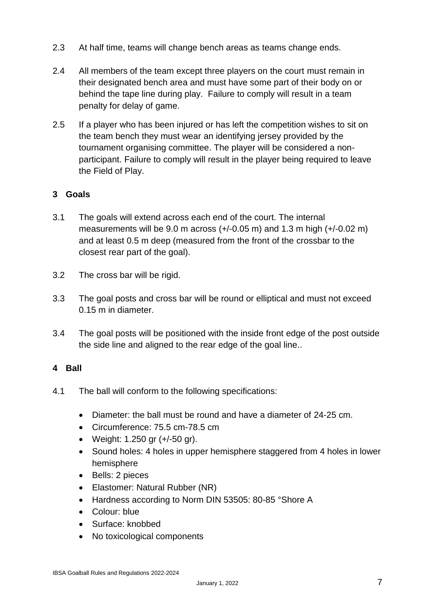- 2.3 At half time, teams will change bench areas as teams change ends.
- 2.4 All members of the team except three players on the court must remain in their designated bench area and must have some part of their body on or behind the tape line during play. Failure to comply will result in a team penalty for delay of game.
- 2.5 If a player who has been injured or has left the competition wishes to sit on the team bench they must wear an identifying jersey provided by the tournament organising committee. The player will be considered a nonparticipant. Failure to comply will result in the player being required to leave the Field of Play.

#### **3 Goals**

- 3.1 The goals will extend across each end of the court. The internal measurements will be 9.0 m across (+/-0.05 m) and 1.3 m high (+/-0.02 m) and at least 0.5 m deep (measured from the front of the crossbar to the closest rear part of the goal).
- 3.2 The cross bar will be rigid.
- 3.3 The goal posts and cross bar will be round or elliptical and must not exceed 0.15 m in diameter.
- 3.4 The goal posts will be positioned with the inside front edge of the post outside the side line and aligned to the rear edge of the goal line..

#### **4 Ball**

- 4.1 The ball will conform to the following specifications:
	- Diameter: the ball must be round and have a diameter of 24-25 cm.
	- Circumference: 75.5 cm-78.5 cm
	- Weight: 1.250 gr (+/-50 gr).
	- Sound holes: 4 holes in upper hemisphere staggered from 4 holes in lower hemisphere
	- Bells: 2 pieces
	- Elastomer: Natural Rubber (NR)
	- Hardness according to Norm DIN 53505: 80-85 °Shore A
	- Colour: blue
	- Surface: knobbed
	- No toxicological components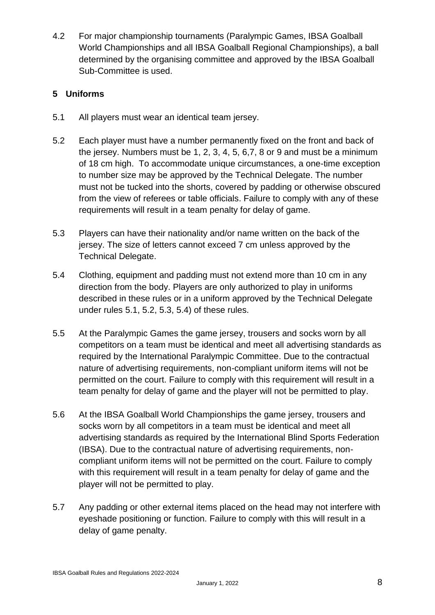4.2 For major championship tournaments (Paralympic Games, IBSA Goalball World Championships and all IBSA Goalball Regional Championships), a ball determined by the organising committee and approved by the IBSA Goalball Sub-Committee is used.

#### **5 Uniforms**

- 5.1 All players must wear an identical team jersey.
- 5.2 Each player must have a number permanently fixed on the front and back of the jersey. Numbers must be 1, 2, 3, 4, 5, 6,7, 8 or 9 and must be a minimum of 18 cm high. To accommodate unique circumstances, a one-time exception to number size may be approved by the Technical Delegate. The number must not be tucked into the shorts, covered by padding or otherwise obscured from the view of referees or table officials. Failure to comply with any of these requirements will result in a team penalty for delay of game.
- 5.3 Players can have their nationality and/or name written on the back of the jersey. The size of letters cannot exceed 7 cm unless approved by the Technical Delegate.
- 5.4 Clothing, equipment and padding must not extend more than 10 cm in any direction from the body. Players are only authorized to play in uniforms described in these rules or in a uniform approved by the Technical Delegate under rules 5.1, 5.2, 5.3, 5.4) of these rules.
- 5.5 At the Paralympic Games the game jersey, trousers and socks worn by all competitors on a team must be identical and meet all advertising standards as required by the International Paralympic Committee. Due to the contractual nature of advertising requirements, non-compliant uniform items will not be permitted on the court. Failure to comply with this requirement will result in a team penalty for delay of game and the player will not be permitted to play.
- 5.6 At the IBSA Goalball World Championships the game jersey, trousers and socks worn by all competitors in a team must be identical and meet all advertising standards as required by the International Blind Sports Federation (IBSA). Due to the contractual nature of advertising requirements, noncompliant uniform items will not be permitted on the court. Failure to comply with this requirement will result in a team penalty for delay of game and the player will not be permitted to play.
- 5.7 Any padding or other external items placed on the head may not interfere with eyeshade positioning or function. Failure to comply with this will result in a delay of game penalty.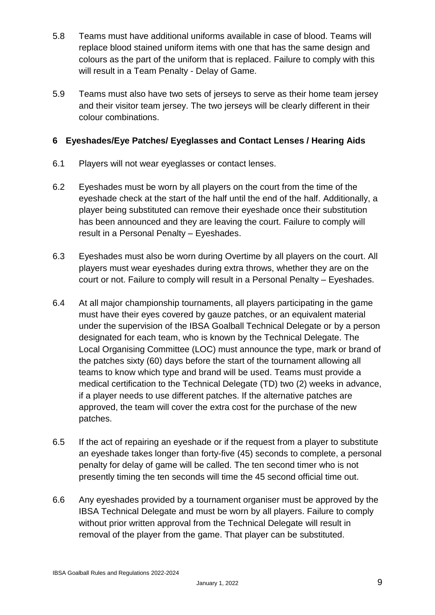- 5.8 Teams must have additional uniforms available in case of blood. Teams will replace blood stained uniform items with one that has the same design and colours as the part of the uniform that is replaced. Failure to comply with this will result in a Team Penalty - Delay of Game.
- 5.9 Teams must also have two sets of jerseys to serve as their home team jersey and their visitor team jersey. The two jerseys will be clearly different in their colour combinations.

#### **6 Eyeshades/Eye Patches/ Eyeglasses and Contact Lenses / Hearing Aids**

- 6.1 Players will not wear eyeglasses or contact lenses.
- 6.2 Eyeshades must be worn by all players on the court from the time of the eyeshade check at the start of the half until the end of the half. Additionally, a player being substituted can remove their eyeshade once their substitution has been announced and they are leaving the court. Failure to comply will result in a Personal Penalty – Eyeshades.
- 6.3 Eyeshades must also be worn during Overtime by all players on the court. All players must wear eyeshades during extra throws, whether they are on the court or not. Failure to comply will result in a Personal Penalty – Eyeshades.
- 6.4 At all major championship tournaments, all players participating in the game must have their eyes covered by gauze patches, or an equivalent material under the supervision of the IBSA Goalball Technical Delegate or by a person designated for each team, who is known by the Technical Delegate. The Local Organising Committee (LOC) must announce the type, mark or brand of the patches sixty (60) days before the start of the tournament allowing all teams to know which type and brand will be used. Teams must provide a medical certification to the Technical Delegate (TD) two (2) weeks in advance, if a player needs to use different patches. If the alternative patches are approved, the team will cover the extra cost for the purchase of the new patches.
- 6.5 If the act of repairing an eyeshade or if the request from a player to substitute an eyeshade takes longer than forty-five (45) seconds to complete, a personal penalty for delay of game will be called. The ten second timer who is not presently timing the ten seconds will time the 45 second official time out.
- 6.6 Any eyeshades provided by a tournament organiser must be approved by the IBSA Technical Delegate and must be worn by all players. Failure to comply without prior written approval from the Technical Delegate will result in removal of the player from the game. That player can be substituted.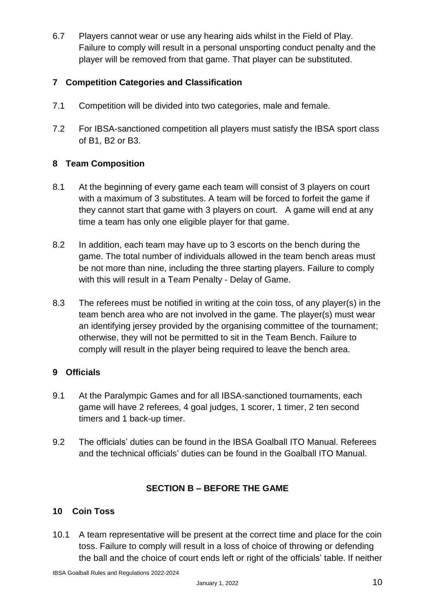6.7 Players cannot wear or use any hearing aids whilst in the Field of Play. Failure to comply will result in a personal unsporting conduct penalty and the player will be removed from that game. That player can be substituted.

#### **7 Competition Categories and Classification**

- 7.1 Competition will be divided into two categories, male and female.
- 7.2 For IBSA-sanctioned competition all players must satisfy the IBSA sport class of B1, B2 or B3.

#### **8 Team Composition**

- 8.1 At the beginning of every game each team will consist of 3 players on court with a maximum of 3 substitutes. A team will be forced to forfeit the game if they cannot start that game with 3 players on court. A game will end at any time a team has only one eligible player for that game.
- 8.2 In addition, each team may have up to 3 escorts on the bench during the game. The total number of individuals allowed in the team bench areas must be not more than nine, including the three starting players. Failure to comply with this will result in a Team Penalty - Delay of Game.
- 8.3 The referees must be notified in writing at the coin toss, of any player(s) in the team bench area who are not involved in the game. The player(s) must wear an identifying jersey provided by the organising committee of the tournament; otherwise, they will not be permitted to sit in the Team Bench. Failure to comply will result in the player being required to leave the bench area.

#### **9 Officials**

- 9.1 At the Paralympic Games and for all IBSA-sanctioned tournaments, each game will have 2 referees, 4 goal judges, 1 scorer, 1 timer, 2 ten second timers and 1 back-up timer.
- 9.2 The officials' duties can be found in the IBSA Goalball ITO Manual. Referees and the technical officials' duties can be found in the Goalball ITO Manual.

#### **SECTION B – BEFORE THE GAME**

#### **10 Coin Toss**

10.1 A team representative will be present at the correct time and place for the coin toss. Failure to comply will result in a loss of choice of throwing or defending the ball and the choice of court ends left or right of the officials' table. If neither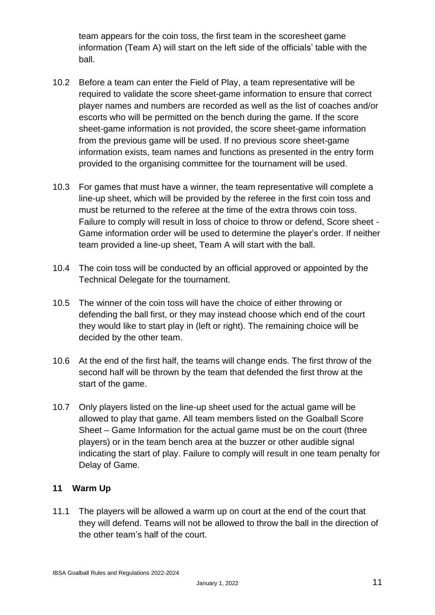team appears for the coin toss, the first team in the scoresheet game information (Team A) will start on the left side of the officials' table with the ball.

- 10.2 Before a team can enter the Field of Play, a team representative will be required to validate the score sheet-game information to ensure that correct player names and numbers are recorded as well as the list of coaches and/or escorts who will be permitted on the bench during the game. If the score sheet-game information is not provided, the score sheet-game information from the previous game will be used. If no previous score sheet-game information exists, team names and functions as presented in the entry form provided to the organising committee for the tournament will be used.
- 10.3 For games that must have a winner, the team representative will complete a line-up sheet, which will be provided by the referee in the first coin toss and must be returned to the referee at the time of the extra throws coin toss. Failure to comply will result in loss of choice to throw or defend, Score sheet - Game information order will be used to determine the player's order. If neither team provided a line-up sheet, Team A will start with the ball.
- 10.4 The coin toss will be conducted by an official approved or appointed by the Technical Delegate for the tournament.
- 10.5 The winner of the coin toss will have the choice of either throwing or defending the ball first, or they may instead choose which end of the court they would like to start play in (left or right). The remaining choice will be decided by the other team.
- 10.6 At the end of the first half, the teams will change ends. The first throw of the second half will be thrown by the team that defended the first throw at the start of the game.
- 10.7 Only players listed on the line-up sheet used for the actual game will be allowed to play that game. All team members listed on the Goalball Score Sheet – Game Information for the actual game must be on the court (three players) or in the team bench area at the buzzer or other audible signal indicating the start of play. Failure to comply will result in one team penalty for Delay of Game.

#### **11 Warm Up**

11.1 The players will be allowed a warm up on court at the end of the court that they will defend. Teams will not be allowed to throw the ball in the direction of the other team's half of the court.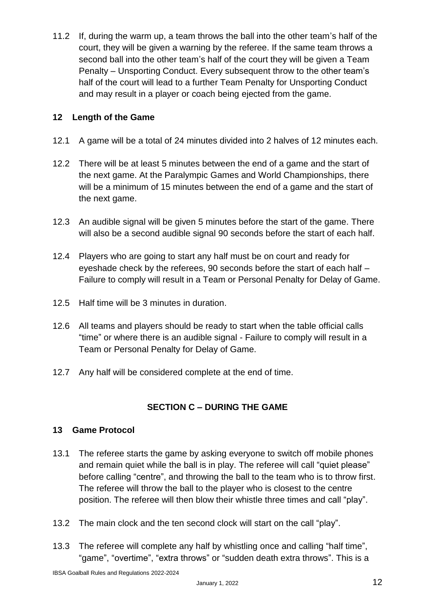11.2 If, during the warm up, a team throws the ball into the other team's half of the court, they will be given a warning by the referee. If the same team throws a second ball into the other team's half of the court they will be given a Team Penalty – Unsporting Conduct. Every subsequent throw to the other team's half of the court will lead to a further Team Penalty for Unsporting Conduct and may result in a player or coach being ejected from the game.

#### **12 Length of the Game**

- 12.1 A game will be a total of 24 minutes divided into 2 halves of 12 minutes each.
- 12.2 There will be at least 5 minutes between the end of a game and the start of the next game. At the Paralympic Games and World Championships, there will be a minimum of 15 minutes between the end of a game and the start of the next game.
- 12.3 An audible signal will be given 5 minutes before the start of the game. There will also be a second audible signal 90 seconds before the start of each half.
- 12.4 Players who are going to start any half must be on court and ready for eyeshade check by the referees, 90 seconds before the start of each half – Failure to comply will result in a Team or Personal Penalty for Delay of Game.
- 12.5 Half time will be 3 minutes in duration.
- 12.6 All teams and players should be ready to start when the table official calls "time" or where there is an audible signal - Failure to comply will result in a Team or Personal Penalty for Delay of Game.
- 12.7 Any half will be considered complete at the end of time.

#### **SECTION C – DURING THE GAME**

#### **13 Game Protocol**

- 13.1 The referee starts the game by asking everyone to switch off mobile phones and remain quiet while the ball is in play. The referee will call "quiet please" before calling "centre", and throwing the ball to the team who is to throw first. The referee will throw the ball to the player who is closest to the centre position. The referee will then blow their whistle three times and call "play".
- 13.2 The main clock and the ten second clock will start on the call "play".
- 13.3 The referee will complete any half by whistling once and calling "half time", "game", "overtime", "extra throws" or "sudden death extra throws". This is a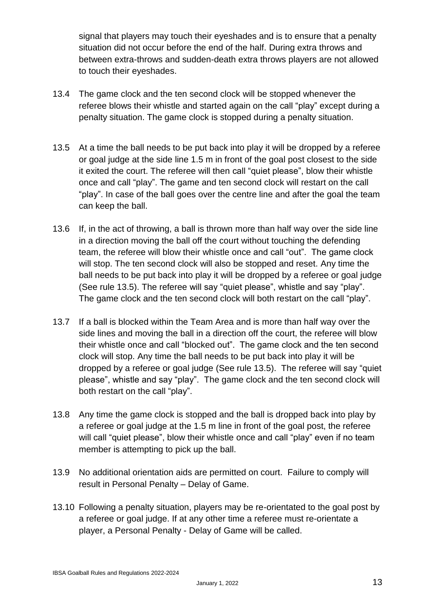signal that players may touch their eyeshades and is to ensure that a penalty situation did not occur before the end of the half. During extra throws and between extra-throws and sudden-death extra throws players are not allowed to touch their eyeshades.

- 13.4 The game clock and the ten second clock will be stopped whenever the referee blows their whistle and started again on the call "play" except during a penalty situation. The game clock is stopped during a penalty situation.
- 13.5 At a time the ball needs to be put back into play it will be dropped by a referee or goal judge at the side line 1.5 m in front of the goal post closest to the side it exited the court. The referee will then call "quiet please", blow their whistle once and call "play". The game and ten second clock will restart on the call "play". In case of the ball goes over the centre line and after the goal the team can keep the ball.
- 13.6 If, in the act of throwing, a ball is thrown more than half way over the side line in a direction moving the ball off the court without touching the defending team, the referee will blow their whistle once and call "out". The game clock will stop. The ten second clock will also be stopped and reset. Any time the ball needs to be put back into play it will be dropped by a referee or goal judge (See rule 13.5). The referee will say "quiet please", whistle and say "play". The game clock and the ten second clock will both restart on the call "play".
- 13.7 If a ball is blocked within the Team Area and is more than half way over the side lines and moving the ball in a direction off the court, the referee will blow their whistle once and call "blocked out". The game clock and the ten second clock will stop. Any time the ball needs to be put back into play it will be dropped by a referee or goal judge (See rule 13.5). The referee will say "quiet please", whistle and say "play". The game clock and the ten second clock will both restart on the call "play".
- 13.8 Any time the game clock is stopped and the ball is dropped back into play by a referee or goal judge at the 1.5 m line in front of the goal post, the referee will call "quiet please", blow their whistle once and call "play" even if no team member is attempting to pick up the ball.
- 13.9 No additional orientation aids are permitted on court. Failure to comply will result in Personal Penalty – Delay of Game.
- 13.10 Following a penalty situation, players may be re-orientated to the goal post by a referee or goal judge. If at any other time a referee must re-orientate a player, a Personal Penalty - Delay of Game will be called.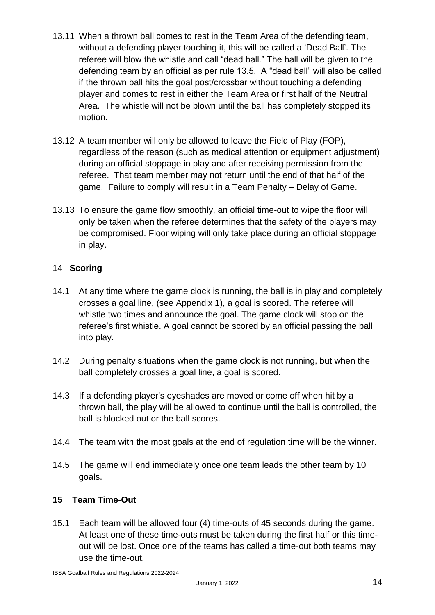- 13.11 When a thrown ball comes to rest in the Team Area of the defending team, without a defending player touching it, this will be called a 'Dead Ball'. The referee will blow the whistle and call "dead ball." The ball will be given to the defending team by an official as per rule 13.5. A "dead ball" will also be called if the thrown ball hits the goal post/crossbar without touching a defending player and comes to rest in either the Team Area or first half of the Neutral Area. The whistle will not be blown until the ball has completely stopped its motion.
- 13.12 A team member will only be allowed to leave the Field of Play (FOP), regardless of the reason (such as medical attention or equipment adjustment) during an official stoppage in play and after receiving permission from the referee. That team member may not return until the end of that half of the game. Failure to comply will result in a Team Penalty – Delay of Game.
- 13.13 To ensure the game flow smoothly, an official time-out to wipe the floor will only be taken when the referee determines that the safety of the players may be compromised. Floor wiping will only take place during an official stoppage in play.

#### 14 **Scoring**

- 14.1 At any time where the game clock is running, the ball is in play and completely crosses a goal line, (see Appendix 1), a goal is scored. The referee will whistle two times and announce the goal. The game clock will stop on the referee's first whistle. A goal cannot be scored by an official passing the ball into play.
- 14.2 During penalty situations when the game clock is not running, but when the ball completely crosses a goal line, a goal is scored.
- 14.3 If a defending player's eyeshades are moved or come off when hit by a thrown ball, the play will be allowed to continue until the ball is controlled, the ball is blocked out or the ball scores.
- 14.4 The team with the most goals at the end of regulation time will be the winner.
- 14.5 The game will end immediately once one team leads the other team by 10 goals.

#### **15 Team Time-Out**

15.1 Each team will be allowed four (4) time-outs of 45 seconds during the game. At least one of these time-outs must be taken during the first half or this timeout will be lost. Once one of the teams has called a time-out both teams may use the time-out.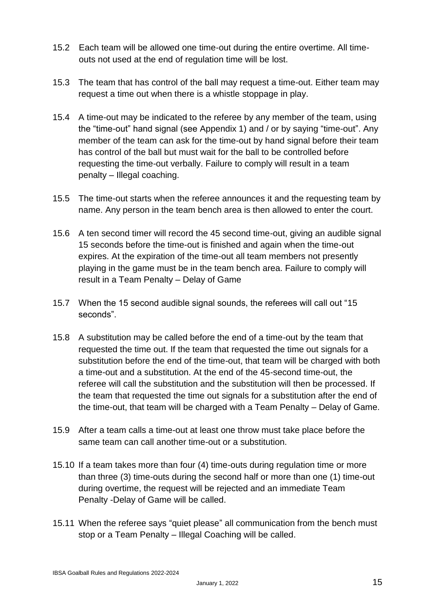- 15.2 Each team will be allowed one time-out during the entire overtime. All timeouts not used at the end of regulation time will be lost.
- 15.3 The team that has control of the ball may request a time-out. Either team may request a time out when there is a whistle stoppage in play.
- 15.4 A time-out may be indicated to the referee by any member of the team, using the "time-out" hand signal (see Appendix 1) and / or by saying "time-out". Any member of the team can ask for the time-out by hand signal before their team has control of the ball but must wait for the ball to be controlled before requesting the time-out verbally. Failure to comply will result in a team penalty – Illegal coaching.
- 15.5 The time-out starts when the referee announces it and the requesting team by name. Any person in the team bench area is then allowed to enter the court.
- 15.6 A ten second timer will record the 45 second time-out, giving an audible signal 15 seconds before the time-out is finished and again when the time-out expires. At the expiration of the time-out all team members not presently playing in the game must be in the team bench area. Failure to comply will result in a Team Penalty – Delay of Game
- 15.7 When the 15 second audible signal sounds, the referees will call out "15 seconds".
- 15.8 A substitution may be called before the end of a time-out by the team that requested the time out. If the team that requested the time out signals for a substitution before the end of the time-out, that team will be charged with both a time-out and a substitution. At the end of the 45-second time-out, the referee will call the substitution and the substitution will then be processed. If the team that requested the time out signals for a substitution after the end of the time-out, that team will be charged with a Team Penalty – Delay of Game.
- 15.9 After a team calls a time-out at least one throw must take place before the same team can call another time-out or a substitution.
- 15.10 If a team takes more than four (4) time-outs during regulation time or more than three (3) time-outs during the second half or more than one (1) time-out during overtime, the request will be rejected and an immediate Team Penalty -Delay of Game will be called.
- 15.11 When the referee says "quiet please" all communication from the bench must stop or a Team Penalty – Illegal Coaching will be called.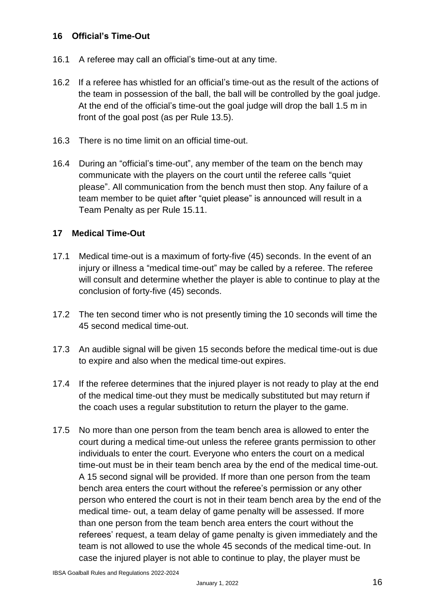#### **16 Official's Time-Out**

- 16.1 A referee may call an official's time-out at any time.
- 16.2 If a referee has whistled for an official's time-out as the result of the actions of the team in possession of the ball, the ball will be controlled by the goal judge. At the end of the official's time-out the goal judge will drop the ball 1.5 m in front of the goal post (as per Rule 13.5).
- 16.3 There is no time limit on an official time-out.
- 16.4 During an "official's time-out", any member of the team on the bench may communicate with the players on the court until the referee calls "quiet please". All communication from the bench must then stop. Any failure of a team member to be quiet after "quiet please" is announced will result in a Team Penalty as per Rule 15.11.

#### **17 Medical Time-Out**

- 17.1 Medical time-out is a maximum of forty-five (45) seconds. In the event of an injury or illness a "medical time-out" may be called by a referee. The referee will consult and determine whether the player is able to continue to play at the conclusion of forty-five (45) seconds.
- 17.2 The ten second timer who is not presently timing the 10 seconds will time the 45 second medical time-out.
- 17.3 An audible signal will be given 15 seconds before the medical time-out is due to expire and also when the medical time-out expires.
- 17.4 If the referee determines that the injured player is not ready to play at the end of the medical time-out they must be medically substituted but may return if the coach uses a regular substitution to return the player to the game.
- 17.5 No more than one person from the team bench area is allowed to enter the court during a medical time-out unless the referee grants permission to other individuals to enter the court. Everyone who enters the court on a medical time-out must be in their team bench area by the end of the medical time-out. A 15 second signal will be provided. If more than one person from the team bench area enters the court without the referee's permission or any other person who entered the court is not in their team bench area by the end of the medical time- out, a team delay of game penalty will be assessed. If more than one person from the team bench area enters the court without the referees' request, a team delay of game penalty is given immediately and the team is not allowed to use the whole 45 seconds of the medical time-out. In case the injured player is not able to continue to play, the player must be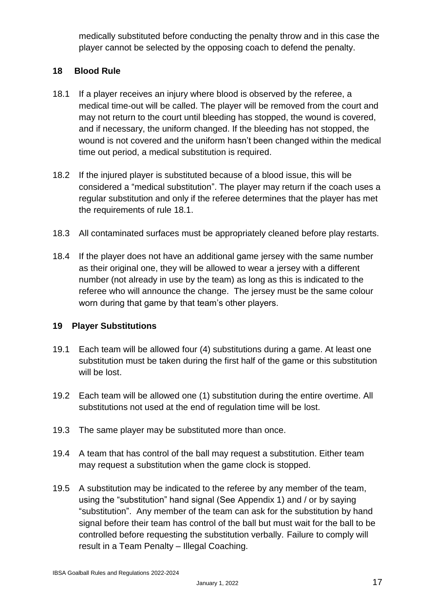medically substituted before conducting the penalty throw and in this case the player cannot be selected by the opposing coach to defend the penalty.

#### **18 Blood Rule**

- 18.1 If a player receives an injury where blood is observed by the referee, a medical time-out will be called. The player will be removed from the court and may not return to the court until bleeding has stopped, the wound is covered, and if necessary, the uniform changed. If the bleeding has not stopped, the wound is not covered and the uniform hasn't been changed within the medical time out period, a medical substitution is required.
- 18.2 If the injured player is substituted because of a blood issue, this will be considered a "medical substitution". The player may return if the coach uses a regular substitution and only if the referee determines that the player has met the requirements of rule 18.1.
- 18.3 All contaminated surfaces must be appropriately cleaned before play restarts.
- 18.4 If the player does not have an additional game jersey with the same number as their original one, they will be allowed to wear a jersey with a different number (not already in use by the team) as long as this is indicated to the referee who will announce the change. The jersey must be the same colour worn during that game by that team's other players.

#### **19 Player Substitutions**

- 19.1 Each team will be allowed four (4) substitutions during a game. At least one substitution must be taken during the first half of the game or this substitution will be lost.
- 19.2 Each team will be allowed one (1) substitution during the entire overtime. All substitutions not used at the end of regulation time will be lost.
- 19.3 The same player may be substituted more than once.
- 19.4 A team that has control of the ball may request a substitution. Either team may request a substitution when the game clock is stopped.
- 19.5 A substitution may be indicated to the referee by any member of the team, using the "substitution" hand signal (See Appendix 1) and / or by saying "substitution". Any member of the team can ask for the substitution by hand signal before their team has control of the ball but must wait for the ball to be controlled before requesting the substitution verbally. Failure to comply will result in a Team Penalty – Illegal Coaching.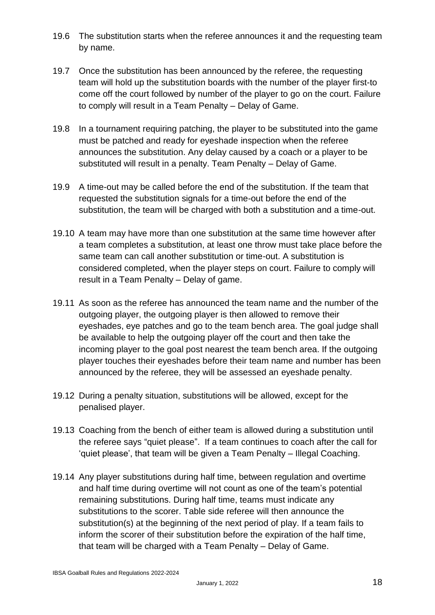- 19.6 The substitution starts when the referee announces it and the requesting team by name.
- 19.7 Once the substitution has been announced by the referee, the requesting team will hold up the substitution boards with the number of the player first-to come off the court followed by number of the player to go on the court. Failure to comply will result in a Team Penalty – Delay of Game.
- 19.8 In a tournament requiring patching, the player to be substituted into the game must be patched and ready for eyeshade inspection when the referee announces the substitution. Any delay caused by a coach or a player to be substituted will result in a penalty. Team Penalty – Delay of Game.
- 19.9 A time-out may be called before the end of the substitution. If the team that requested the substitution signals for a time-out before the end of the substitution, the team will be charged with both a substitution and a time-out.
- 19.10 A team may have more than one substitution at the same time however after a team completes a substitution, at least one throw must take place before the same team can call another substitution or time-out. A substitution is considered completed, when the player steps on court. Failure to comply will result in a Team Penalty – Delay of game.
- 19.11 As soon as the referee has announced the team name and the number of the outgoing player, the outgoing player is then allowed to remove their eyeshades, eye patches and go to the team bench area. The goal judge shall be available to help the outgoing player off the court and then take the incoming player to the goal post nearest the team bench area. If the outgoing player touches their eyeshades before their team name and number has been announced by the referee, they will be assessed an eyeshade penalty.
- 19.12 During a penalty situation, substitutions will be allowed, except for the penalised player.
- 19.13 Coaching from the bench of either team is allowed during a substitution until the referee says "quiet please". If a team continues to coach after the call for 'quiet please', that team will be given a Team Penalty – Illegal Coaching.
- 19.14 Any player substitutions during half time, between regulation and overtime and half time during overtime will not count as one of the team's potential remaining substitutions. During half time, teams must indicate any substitutions to the scorer. Table side referee will then announce the substitution(s) at the beginning of the next period of play. If a team fails to inform the scorer of their substitution before the expiration of the half time, that team will be charged with a Team Penalty – Delay of Game.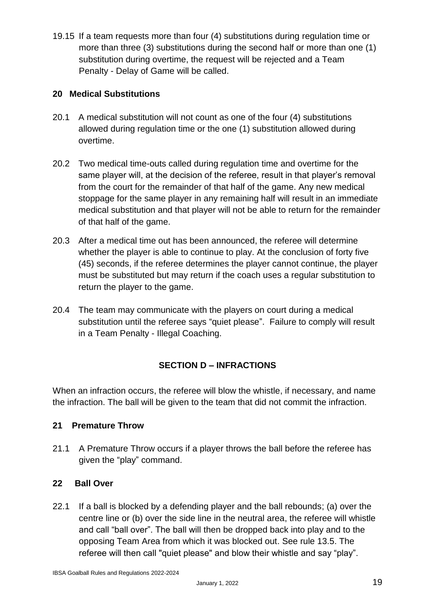19.15 If a team requests more than four (4) substitutions during regulation time or more than three (3) substitutions during the second half or more than one (1) substitution during overtime, the request will be rejected and a Team Penalty - Delay of Game will be called.

#### **20 Medical Substitutions**

- 20.1 A medical substitution will not count as one of the four (4) substitutions allowed during regulation time or the one (1) substitution allowed during overtime.
- 20.2 Two medical time-outs called during regulation time and overtime for the same player will, at the decision of the referee, result in that player's removal from the court for the remainder of that half of the game. Any new medical stoppage for the same player in any remaining half will result in an immediate medical substitution and that player will not be able to return for the remainder of that half of the game.
- 20.3 After a medical time out has been announced, the referee will determine whether the player is able to continue to play. At the conclusion of forty five (45) seconds, if the referee determines the player cannot continue, the player must be substituted but may return if the coach uses a regular substitution to return the player to the game.
- 20.4 The team may communicate with the players on court during a medical substitution until the referee says "quiet please". Failure to comply will result in a Team Penalty - Illegal Coaching.

#### **SECTION D – INFRACTIONS**

When an infraction occurs, the referee will blow the whistle, if necessary, and name the infraction. The ball will be given to the team that did not commit the infraction.

#### **21 Premature Throw**

21.1 A Premature Throw occurs if a player throws the ball before the referee has given the "play" command.

#### **22 Ball Over**

22.1 If a ball is blocked by a defending player and the ball rebounds; (a) over the centre line or (b) over the side line in the neutral area, the referee will whistle and call "ball over". The ball will then be dropped back into play and to the opposing Team Area from which it was blocked out. See rule 13.5. The referee will then call "quiet please" and blow their whistle and say "play".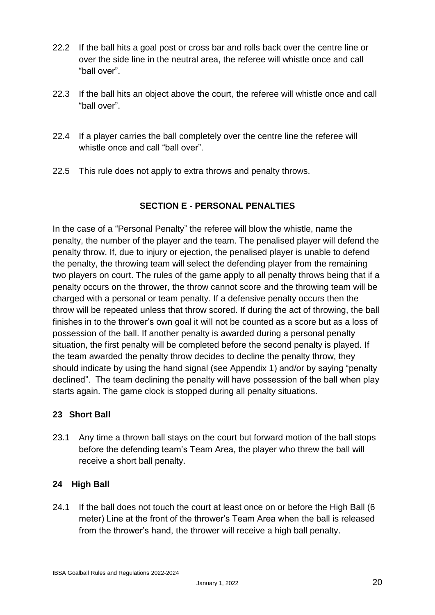- 22.2 If the ball hits a goal post or cross bar and rolls back over the centre line or over the side line in the neutral area, the referee will whistle once and call "ball over".
- 22.3 If the ball hits an object above the court, the referee will whistle once and call "ball over".
- 22.4 If a player carries the ball completely over the centre line the referee will whistle once and call "ball over".
- 22.5 This rule does not apply to extra throws and penalty throws.

#### **SECTION E - PERSONAL PENALTIES**

In the case of a "Personal Penalty" the referee will blow the whistle, name the penalty, the number of the player and the team. The penalised player will defend the penalty throw. If, due to injury or ejection, the penalised player is unable to defend the penalty, the throwing team will select the defending player from the remaining two players on court. The rules of the game apply to all penalty throws being that if a penalty occurs on the thrower, the throw cannot score and the throwing team will be charged with a personal or team penalty. If a defensive penalty occurs then the throw will be repeated unless that throw scored. If during the act of throwing, the ball finishes in to the thrower's own goal it will not be counted as a score but as a loss of possession of the ball. If another penalty is awarded during a personal penalty situation, the first penalty will be completed before the second penalty is played. If the team awarded the penalty throw decides to decline the penalty throw, they should indicate by using the hand signal (see Appendix 1) and/or by saying "penalty declined". The team declining the penalty will have possession of the ball when play starts again. The game clock is stopped during all penalty situations.

#### **23 Short Ball**

23.1 Any time a thrown ball stays on the court but forward motion of the ball stops before the defending team's Team Area, the player who threw the ball will receive a short ball penalty.

#### **24 High Ball**

24.1 If the ball does not touch the court at least once on or before the High Ball (6 meter) Line at the front of the thrower's Team Area when the ball is released from the thrower's hand, the thrower will receive a high ball penalty.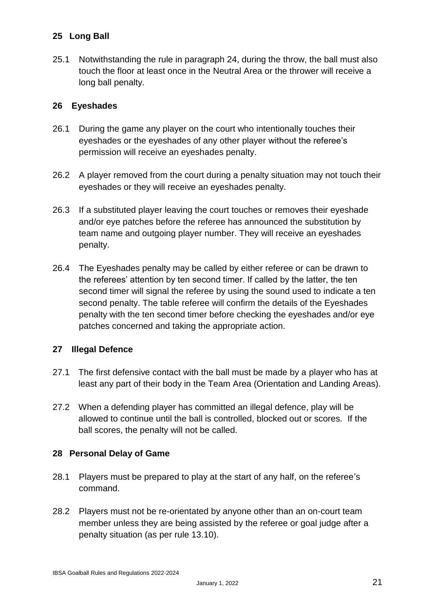#### **25 Long Ball**

25.1 Notwithstanding the rule in paragraph 24, during the throw, the ball must also touch the floor at least once in the Neutral Area or the thrower will receive a long ball penalty.

#### **26 Eyeshades**

- 26.1 During the game any player on the court who intentionally touches their eyeshades or the eyeshades of any other player without the referee's permission will receive an eyeshades penalty.
- 26.2 A player removed from the court during a penalty situation may not touch their eyeshades or they will receive an eyeshades penalty.
- 26.3 If a substituted player leaving the court touches or removes their eyeshade and/or eye patches before the referee has announced the substitution by team name and outgoing player number. They will receive an eyeshades penalty.
- 26.4 The Eyeshades penalty may be called by either referee or can be drawn to the referees' attention by ten second timer. If called by the latter, the ten second timer will signal the referee by using the sound used to indicate a ten second penalty. The table referee will confirm the details of the Eyeshades penalty with the ten second timer before checking the eyeshades and/or eye patches concerned and taking the appropriate action.

#### **27 Illegal Defence**

- 27.1 The first defensive contact with the ball must be made by a player who has at least any part of their body in the Team Area (Orientation and Landing Areas).
- 27.2 When a defending player has committed an illegal defence, play will be allowed to continue until the ball is controlled, blocked out or scores. If the ball scores, the penalty will not be called.

#### **28 Personal Delay of Game**

- 28.1 Players must be prepared to play at the start of any half, on the referee's command.
- 28.2 Players must not be re-orientated by anyone other than an on-court team member unless they are being assisted by the referee or goal judge after a penalty situation (as per rule 13.10).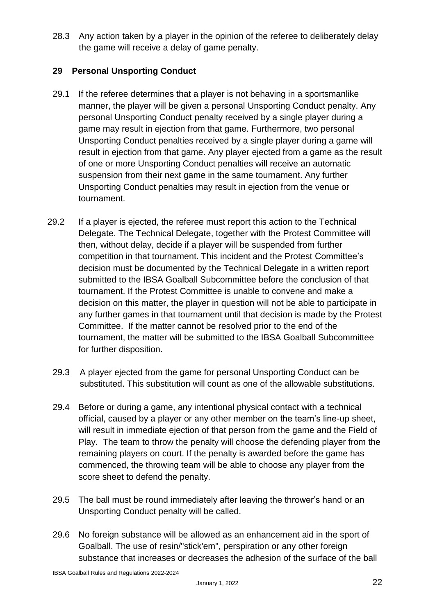28.3 Any action taken by a player in the opinion of the referee to deliberately delay the game will receive a delay of game penalty.

#### **29 Personal Unsporting Conduct**

- 29.1 If the referee determines that a player is not behaving in a sportsmanlike manner, the player will be given a personal Unsporting Conduct penalty. Any personal Unsporting Conduct penalty received by a single player during a game may result in ejection from that game. Furthermore, two personal Unsporting Conduct penalties received by a single player during a game will result in ejection from that game. Any player ejected from a game as the result of one or more Unsporting Conduct penalties will receive an automatic suspension from their next game in the same tournament. Any further Unsporting Conduct penalties may result in ejection from the venue or tournament.
- 29.2 If a player is ejected, the referee must report this action to the Technical Delegate. The Technical Delegate, together with the Protest Committee will then, without delay, decide if a player will be suspended from further competition in that tournament. This incident and the Protest Committee's decision must be documented by the Technical Delegate in a written report submitted to the IBSA Goalball Subcommittee before the conclusion of that tournament. If the Protest Committee is unable to convene and make a decision on this matter, the player in question will not be able to participate in any further games in that tournament until that decision is made by the Protest Committee. If the matter cannot be resolved prior to the end of the tournament, the matter will be submitted to the IBSA Goalball Subcommittee for further disposition.
	- 29.3 A player ejected from the game for personal Unsporting Conduct can be substituted. This substitution will count as one of the allowable substitutions.
	- 29.4 Before or during a game, any intentional physical contact with a technical official, caused by a player or any other member on the team's line-up sheet, will result in immediate ejection of that person from the game and the Field of Play. The team to throw the penalty will choose the defending player from the remaining players on court. If the penalty is awarded before the game has commenced, the throwing team will be able to choose any player from the score sheet to defend the penalty.
	- 29.5 The ball must be round immediately after leaving the thrower's hand or an Unsporting Conduct penalty will be called.
	- 29.6 No foreign substance will be allowed as an enhancement aid in the sport of Goalball. The use of resin/"stick'em", perspiration or any other foreign substance that increases or decreases the adhesion of the surface of the ball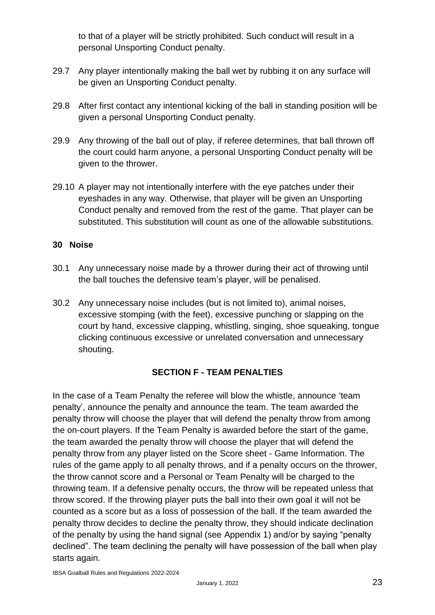to that of a player will be strictly prohibited. Such conduct will result in a personal Unsporting Conduct penalty.

- 29.7 Any player intentionally making the ball wet by rubbing it on any surface will be given an Unsporting Conduct penalty.
- 29.8 After first contact any intentional kicking of the ball in standing position will be given a personal Unsporting Conduct penalty.
- 29.9 Any throwing of the ball out of play, if referee determines, that ball thrown off the court could harm anyone, a personal Unsporting Conduct penalty will be given to the thrower.
- 29.10 A player may not intentionally interfere with the eye patches under their eyeshades in any way. Otherwise, that player will be given an Unsporting Conduct penalty and removed from the rest of the game. That player can be substituted. This substitution will count as one of the allowable substitutions.

#### **30 Noise**

- 30.1 Any unnecessary noise made by a thrower during their act of throwing until the ball touches the defensive team's player, will be penalised.
- 30.2 Any unnecessary noise includes (but is not limited to), animal noises, excessive stomping (with the feet), excessive punching or slapping on the court by hand, excessive clapping, whistling, singing, shoe squeaking, tongue clicking continuous excessive or unrelated conversation and unnecessary shouting.

#### **SECTION F - TEAM PENALTIES**

In the case of a Team Penalty the referee will blow the whistle, announce 'team penalty', announce the penalty and announce the team. The team awarded the penalty throw will choose the player that will defend the penalty throw from among the on-court players. If the Team Penalty is awarded before the start of the game, the team awarded the penalty throw will choose the player that will defend the penalty throw from any player listed on the Score sheet - Game Information. The rules of the game apply to all penalty throws, and if a penalty occurs on the thrower, the throw cannot score and a Personal or Team Penalty will be charged to the throwing team. If a defensive penalty occurs, the throw will be repeated unless that throw scored. If the throwing player puts the ball into their own goal it will not be counted as a score but as a loss of possession of the ball. If the team awarded the penalty throw decides to decline the penalty throw, they should indicate declination of the penalty by using the hand signal (see Appendix 1) and/or by saying "penalty declined". The team declining the penalty will have possession of the ball when play starts again.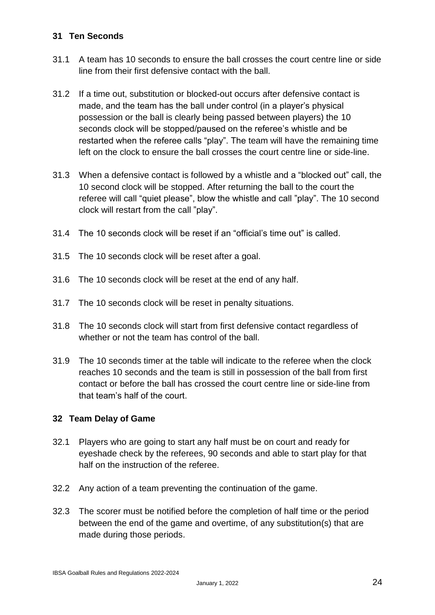#### **31 Ten Seconds**

- 31.1 A team has 10 seconds to ensure the ball crosses the court centre line or side line from their first defensive contact with the ball.
- 31.2 If a time out, substitution or blocked-out occurs after defensive contact is made, and the team has the ball under control (in a player's physical possession or the ball is clearly being passed between players) the 10 seconds clock will be stopped/paused on the referee's whistle and be restarted when the referee calls "play". The team will have the remaining time left on the clock to ensure the ball crosses the court centre line or side-line.
- 31.3 When a defensive contact is followed by a whistle and a "blocked out" call, the 10 second clock will be stopped. After returning the ball to the court the referee will call "quiet please", blow the whistle and call "play". The 10 second clock will restart from the call "play".
- 31.4 The 10 seconds clock will be reset if an "official's time out" is called.
- 31.5 The 10 seconds clock will be reset after a goal.
- 31.6 The 10 seconds clock will be reset at the end of any half.
- 31.7 The 10 seconds clock will be reset in penalty situations.
- 31.8 The 10 seconds clock will start from first defensive contact regardless of whether or not the team has control of the ball.
- 31.9 The 10 seconds timer at the table will indicate to the referee when the clock reaches 10 seconds and the team is still in possession of the ball from first contact or before the ball has crossed the court centre line or side-line from that team's half of the court.

#### **32 Team Delay of Game**

- 32.1 Players who are going to start any half must be on court and ready for eyeshade check by the referees, 90 seconds and able to start play for that half on the instruction of the referee.
- 32.2 Any action of a team preventing the continuation of the game.
- 32.3 The scorer must be notified before the completion of half time or the period between the end of the game and overtime, of any substitution(s) that are made during those periods.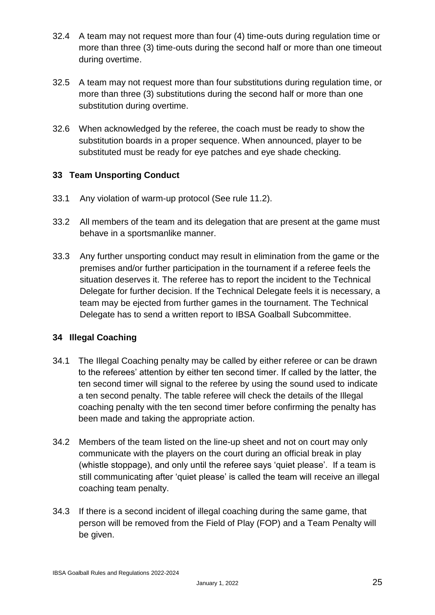- 32.4 A team may not request more than four (4) time-outs during regulation time or more than three (3) time-outs during the second half or more than one timeout during overtime.
- 32.5 A team may not request more than four substitutions during regulation time, or more than three (3) substitutions during the second half or more than one substitution during overtime.
- 32.6 When acknowledged by the referee, the coach must be ready to show the substitution boards in a proper sequence. When announced, player to be substituted must be ready for eye patches and eye shade checking.

#### **33 Team Unsporting Conduct**

- 33.1 Any violation of warm-up protocol (See rule 11.2).
- 33.2 All members of the team and its delegation that are present at the game must behave in a sportsmanlike manner.
- 33.3 Any further unsporting conduct may result in elimination from the game or the premises and/or further participation in the tournament if a referee feels the situation deserves it. The referee has to report the incident to the Technical Delegate for further decision. If the Technical Delegate feels it is necessary, a team may be ejected from further games in the tournament. The Technical Delegate has to send a written report to IBSA Goalball Subcommittee.

#### **34 Illegal Coaching**

- 34.1 The Illegal Coaching penalty may be called by either referee or can be drawn to the referees' attention by either ten second timer. If called by the latter, the ten second timer will signal to the referee by using the sound used to indicate a ten second penalty. The table referee will check the details of the Illegal coaching penalty with the ten second timer before confirming the penalty has been made and taking the appropriate action.
- 34.2 Members of the team listed on the line-up sheet and not on court may only communicate with the players on the court during an official break in play (whistle stoppage), and only until the referee says 'quiet please'. If a team is still communicating after 'quiet please' is called the team will receive an illegal coaching team penalty.
- 34.3 If there is a second incident of illegal coaching during the same game, that person will be removed from the Field of Play (FOP) and a Team Penalty will be given.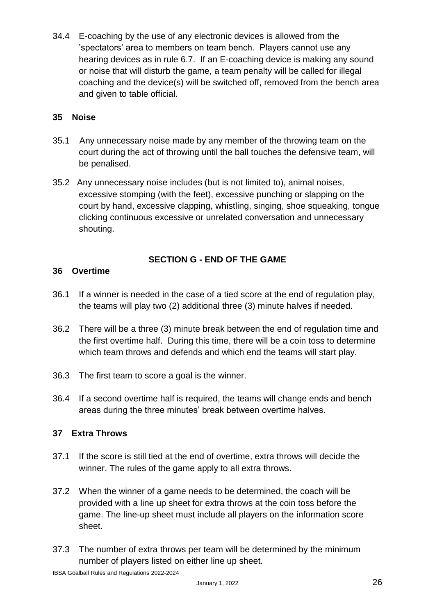34.4 E-coaching by the use of any electronic devices is allowed from the 'spectators' area to members on team bench. Players cannot use any hearing devices as in rule 6.7. If an E-coaching device is making any sound or noise that will disturb the game, a team penalty will be called for illegal coaching and the device(s) will be switched off, removed from the bench area and given to table official.

#### **35 Noise**

- 35.1 Any unnecessary noise made by any member of the throwing team on the court during the act of throwing until the ball touches the defensive team, will be penalised.
- 35.2 Any unnecessary noise includes (but is not limited to), animal noises, excessive stomping (with the feet), excessive punching or slapping on the court by hand, excessive clapping, whistling, singing, shoe squeaking, tongue clicking continuous excessive or unrelated conversation and unnecessary shouting.

#### **SECTION G - END OF THE GAME**

#### **36 Overtime**

- 36.1 If a winner is needed in the case of a tied score at the end of regulation play, the teams will play two (2) additional three (3) minute halves if needed.
- 36.2 There will be a three (3) minute break between the end of regulation time and the first overtime half. During this time, there will be a coin toss to determine which team throws and defends and which end the teams will start play.
- 36.3 The first team to score a goal is the winner.
- 36.4 If a second overtime half is required, the teams will change ends and bench areas during the three minutes' break between overtime halves.

#### **37 Extra Throws**

- 37.1 If the score is still tied at the end of overtime, extra throws will decide the winner. The rules of the game apply to all extra throws.
- 37.2 When the winner of a game needs to be determined, the coach will be provided with a line up sheet for extra throws at the coin toss before the game. The line-up sheet must include all players on the information score sheet.
- 37.3 The number of extra throws per team will be determined by the minimum number of players listed on either line up sheet.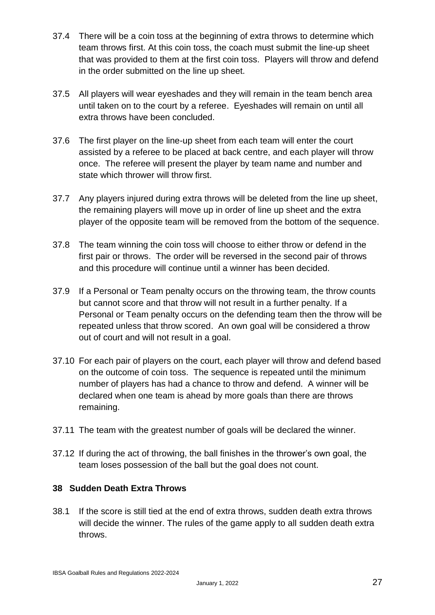- 37.4 There will be a coin toss at the beginning of extra throws to determine which team throws first. At this coin toss, the coach must submit the line-up sheet that was provided to them at the first coin toss. Players will throw and defend in the order submitted on the line up sheet.
- 37.5 All players will wear eyeshades and they will remain in the team bench area until taken on to the court by a referee. Eyeshades will remain on until all extra throws have been concluded.
- 37.6 The first player on the line-up sheet from each team will enter the court assisted by a referee to be placed at back centre, and each player will throw once. The referee will present the player by team name and number and state which thrower will throw first.
- 37.7 Any players injured during extra throws will be deleted from the line up sheet, the remaining players will move up in order of line up sheet and the extra player of the opposite team will be removed from the bottom of the sequence.
- 37.8 The team winning the coin toss will choose to either throw or defend in the first pair or throws. The order will be reversed in the second pair of throws and this procedure will continue until a winner has been decided.
- 37.9 If a Personal or Team penalty occurs on the throwing team, the throw counts but cannot score and that throw will not result in a further penalty. If a Personal or Team penalty occurs on the defending team then the throw will be repeated unless that throw scored. An own goal will be considered a throw out of court and will not result in a goal.
- 37.10 For each pair of players on the court, each player will throw and defend based on the outcome of coin toss. The sequence is repeated until the minimum number of players has had a chance to throw and defend. A winner will be declared when one team is ahead by more goals than there are throws remaining.
- 37.11 The team with the greatest number of goals will be declared the winner.
- 37.12 If during the act of throwing, the ball finishes in the thrower's own goal, the team loses possession of the ball but the goal does not count.

#### **38 Sudden Death Extra Throws**

38.1 If the score is still tied at the end of extra throws, sudden death extra throws will decide the winner. The rules of the game apply to all sudden death extra throws.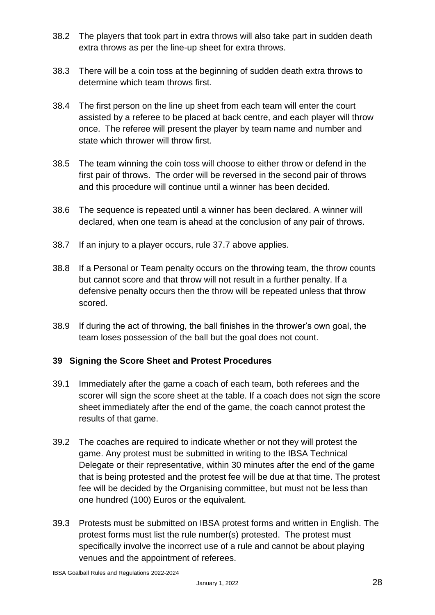- 38.2 The players that took part in extra throws will also take part in sudden death extra throws as per the line-up sheet for extra throws.
- 38.3 There will be a coin toss at the beginning of sudden death extra throws to determine which team throws first.
- 38.4 The first person on the line up sheet from each team will enter the court assisted by a referee to be placed at back centre, and each player will throw once. The referee will present the player by team name and number and state which thrower will throw first.
- 38.5 The team winning the coin toss will choose to either throw or defend in the first pair of throws. The order will be reversed in the second pair of throws and this procedure will continue until a winner has been decided.
- 38.6 The sequence is repeated until a winner has been declared. A winner will declared, when one team is ahead at the conclusion of any pair of throws.
- 38.7 If an injury to a player occurs, rule 37.7 above applies.
- 38.8 If a Personal or Team penalty occurs on the throwing team, the throw counts but cannot score and that throw will not result in a further penalty. If a defensive penalty occurs then the throw will be repeated unless that throw scored.
- 38.9 If during the act of throwing, the ball finishes in the thrower's own goal, the team loses possession of the ball but the goal does not count.

#### **39 Signing the Score Sheet and Protest Procedures**

- 39.1 Immediately after the game a coach of each team, both referees and the scorer will sign the score sheet at the table. If a coach does not sign the score sheet immediately after the end of the game, the coach cannot protest the results of that game.
- 39.2 The coaches are required to indicate whether or not they will protest the game. Any protest must be submitted in writing to the IBSA Technical Delegate or their representative, within 30 minutes after the end of the game that is being protested and the protest fee will be due at that time. The protest fee will be decided by the Organising committee, but must not be less than one hundred (100) Euros or the equivalent.
- 39.3 Protests must be submitted on IBSA protest forms and written in English. The protest forms must list the rule number(s) protested. The protest must specifically involve the incorrect use of a rule and cannot be about playing venues and the appointment of referees.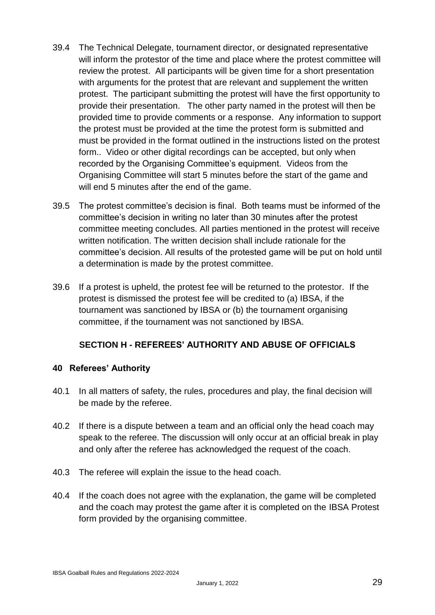- 39.4 The Technical Delegate, tournament director, or designated representative will inform the protestor of the time and place where the protest committee will review the protest. All participants will be given time for a short presentation with arguments for the protest that are relevant and supplement the written protest. The participant submitting the protest will have the first opportunity to provide their presentation. The other party named in the protest will then be provided time to provide comments or a response. Any information to support the protest must be provided at the time the protest form is submitted and must be provided in the format outlined in the instructions listed on the protest form.. Video or other digital recordings can be accepted, but only when recorded by the Organising Committee's equipment. Videos from the Organising Committee will start 5 minutes before the start of the game and will end 5 minutes after the end of the game.
- 39.5 The protest committee's decision is final. Both teams must be informed of the committee's decision in writing no later than 30 minutes after the protest committee meeting concludes. All parties mentioned in the protest will receive written notification. The written decision shall include rationale for the committee's decision. All results of the protested game will be put on hold until a determination is made by the protest committee.
- 39.6 If a protest is upheld, the protest fee will be returned to the protestor. If the protest is dismissed the protest fee will be credited to (a) IBSA, if the tournament was sanctioned by IBSA or (b) the tournament organising committee, if the tournament was not sanctioned by IBSA.

#### **SECTION H - REFEREES' AUTHORITY AND ABUSE OF OFFICIALS**

#### **40 Referees' Authority**

- 40.1 In all matters of safety, the rules, procedures and play, the final decision will be made by the referee.
- 40.2 If there is a dispute between a team and an official only the head coach may speak to the referee. The discussion will only occur at an official break in play and only after the referee has acknowledged the request of the coach.
- 40.3 The referee will explain the issue to the head coach.
- 40.4 If the coach does not agree with the explanation, the game will be completed and the coach may protest the game after it is completed on the IBSA Protest form provided by the organising committee.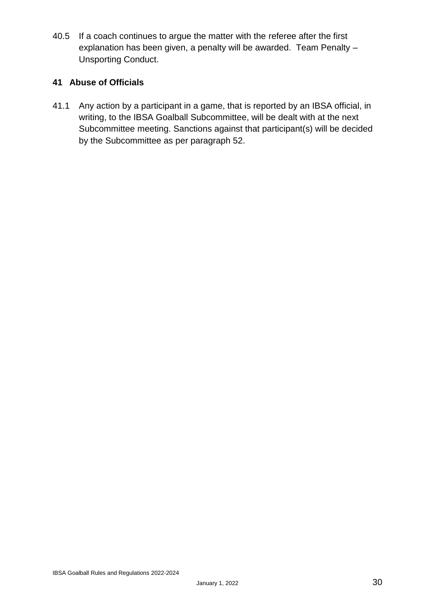40.5 If a coach continues to argue the matter with the referee after the first explanation has been given, a penalty will be awarded. Team Penalty – Unsporting Conduct.

#### **41 Abuse of Officials**

41.1 Any action by a participant in a game, that is reported by an IBSA official, in writing, to the IBSA Goalball Subcommittee, will be dealt with at the next Subcommittee meeting. Sanctions against that participant(s) will be decided by the Subcommittee as per paragraph 52.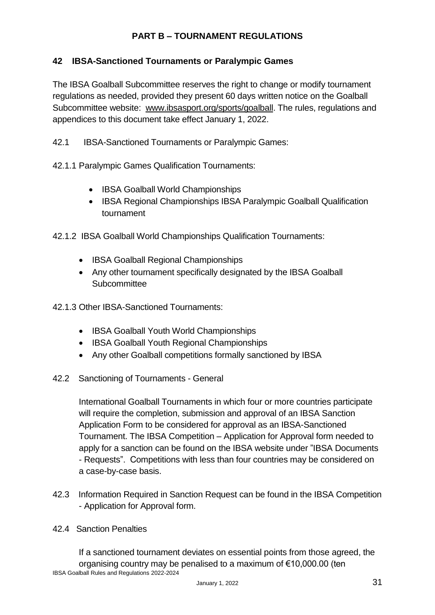#### **PART B – TOURNAMENT REGULATIONS**

#### **42 IBSA-Sanctioned Tournaments or Paralympic Games**

The IBSA Goalball Subcommittee reserves the right to change or modify tournament regulations as needed, provided they present 60 days written notice on the Goalball Subcommittee website: [www.ibsasport.org/sports/goalball.](http://www.ibsasport.org/sports/goalball) The rules, regulations and appendices to this document take effect January 1, 2022.

42.1 IBSA-Sanctioned Tournaments or Paralympic Games:

42.1.1 Paralympic Games Qualification Tournaments:

- IBSA Goalball World Championships
- IBSA Regional Championships IBSA Paralympic Goalball Qualification tournament

42.1.2 IBSA Goalball World Championships Qualification Tournaments:

- IBSA Goalball Regional Championships
- Any other tournament specifically designated by the IBSA Goalball **Subcommittee**

42.1.3 Other IBSA-Sanctioned Tournaments:

- IBSA Goalball Youth World Championships
- IBSA Goalball Youth Regional Championships
- Any other Goalball competitions formally sanctioned by IBSA
- 42.2 Sanctioning of Tournaments General

International Goalball Tournaments in which four or more countries participate will require the completion, submission and approval of an IBSA Sanction Application Form to be considered for approval as an IBSA-Sanctioned Tournament. The IBSA Competition – Application for Approval form needed to apply for a sanction can be found on the IBSA website under "IBSA Documents - Requests". Competitions with less than four countries may be considered on a case-by-case basis.

42.3 Information Required in Sanction Request can be found in the IBSA Competition - Application for Approval form.

#### 42.4 Sanction Penalties

IBSA Goalball Rules and Regulations 2022-2024 If a sanctioned tournament deviates on essential points from those agreed, the organising country may be penalised to a maximum of €10,000.00 (ten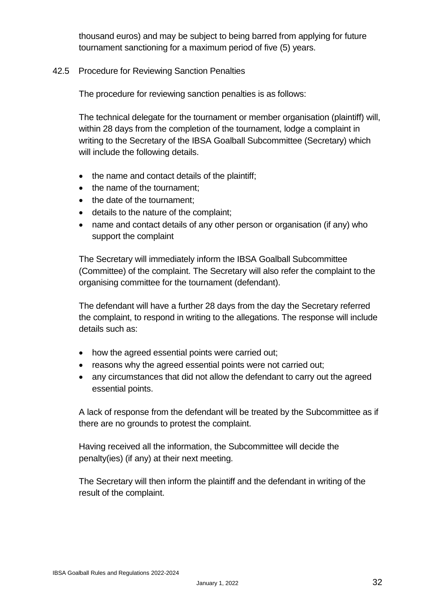thousand euros) and may be subject to being barred from applying for future tournament sanctioning for a maximum period of five (5) years.

#### 42.5 Procedure for Reviewing Sanction Penalties

The procedure for reviewing sanction penalties is as follows:

The technical delegate for the tournament or member organisation (plaintiff) will, within 28 days from the completion of the tournament, lodge a complaint in writing to the Secretary of the IBSA Goalball Subcommittee (Secretary) which will include the following details.

- the name and contact details of the plaintiff;
- the name of the tournament;
- the date of the tournament;
- details to the nature of the complaint;
- name and contact details of any other person or organisation (if any) who support the complaint

The Secretary will immediately inform the IBSA Goalball Subcommittee (Committee) of the complaint. The Secretary will also refer the complaint to the organising committee for the tournament (defendant).

The defendant will have a further 28 days from the day the Secretary referred the complaint, to respond in writing to the allegations. The response will include details such as:

- how the agreed essential points were carried out;
- reasons why the agreed essential points were not carried out;
- any circumstances that did not allow the defendant to carry out the agreed essential points.

A lack of response from the defendant will be treated by the Subcommittee as if there are no grounds to protest the complaint.

Having received all the information, the Subcommittee will decide the penalty(ies) (if any) at their next meeting.

The Secretary will then inform the plaintiff and the defendant in writing of the result of the complaint.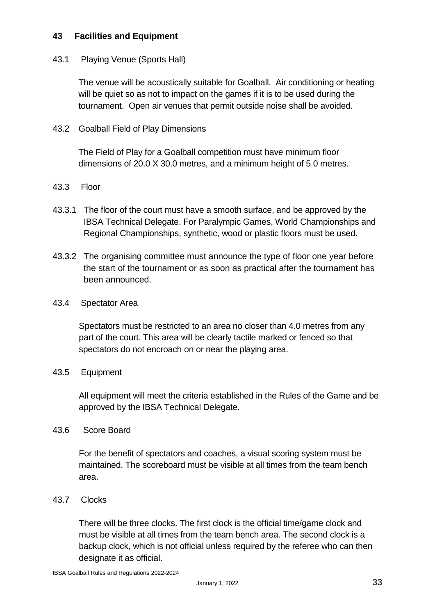#### **43 Facilities and Equipment**

#### 43.1 Playing Venue (Sports Hall)

The venue will be acoustically suitable for Goalball. Air conditioning or heating will be quiet so as not to impact on the games if it is to be used during the tournament. Open air venues that permit outside noise shall be avoided.

43.2 Goalball Field of Play Dimensions

The Field of Play for a Goalball competition must have minimum floor dimensions of 20.0 X 30.0 metres, and a minimum height of 5.0 metres.

#### 43.3 Floor

- 43.3.1 The floor of the court must have a smooth surface, and be approved by the IBSA Technical Delegate. For Paralympic Games, World Championships and Regional Championships, synthetic, wood or plastic floors must be used.
- 43.3.2 The organising committee must announce the type of floor one year before the start of the tournament or as soon as practical after the tournament has been announced.
- 43.4 Spectator Area

Spectators must be restricted to an area no closer than 4.0 metres from any part of the court. This area will be clearly tactile marked or fenced so that spectators do not encroach on or near the playing area.

#### 43.5 Equipment

All equipment will meet the criteria established in the Rules of the Game and be approved by the IBSA Technical Delegate.

#### 43.6 Score Board

For the benefit of spectators and coaches, a visual scoring system must be maintained. The scoreboard must be visible at all times from the team bench area.

43.7 Clocks

There will be three clocks. The first clock is the official time/game clock and must be visible at all times from the team bench area. The second clock is a backup clock, which is not official unless required by the referee who can then designate it as official.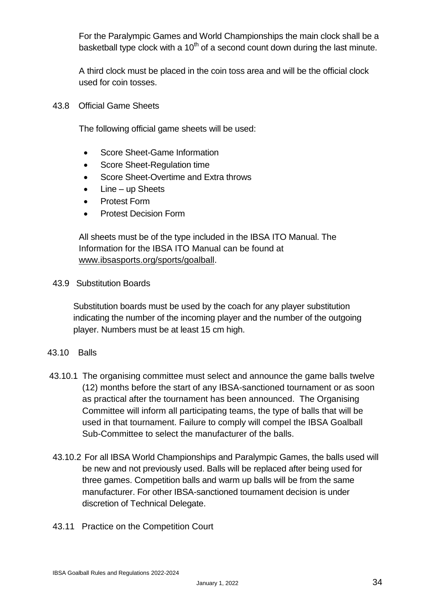For the Paralympic Games and World Championships the main clock shall be a basketball type clock with a  $10<sup>th</sup>$  of a second count down during the last minute.

A third clock must be placed in the coin toss area and will be the official clock used for coin tosses.

43.8 Official Game Sheets

The following official game sheets will be used:

- Score Sheet-Game Information
- Score Sheet-Regulation time
- Score Sheet-Overtime and Extra throws
- Line up Sheets
- Protest Form
- **•** Protest Decision Form

All sheets must be of the type included in the IBSA ITO Manual. The Information for the IBSA ITO Manual can be found at [www.ibsasports.org/sports/goalball.](http://www.ibsasports.org/sports/goalball)

43.9 Substitution Boards

Substitution boards must be used by the coach for any player substitution indicating the number of the incoming player and the number of the outgoing player. Numbers must be at least 15 cm high.

- 43.10 Balls
- 43.10.1 The organising committee must select and announce the game balls twelve (12) months before the start of any IBSA-sanctioned tournament or as soon as practical after the tournament has been announced. The Organising Committee will inform all participating teams, the type of balls that will be used in that tournament. Failure to comply will compel the IBSA Goalball Sub-Committee to select the manufacturer of the balls.
- 43.10.2 For all IBSA World Championships and Paralympic Games, the balls used will be new and not previously used. Balls will be replaced after being used for three games. Competition balls and warm up balls will be from the same manufacturer. For other IBSA-sanctioned tournament decision is under discretion of Technical Delegate.
- 43.11 Practice on the Competition Court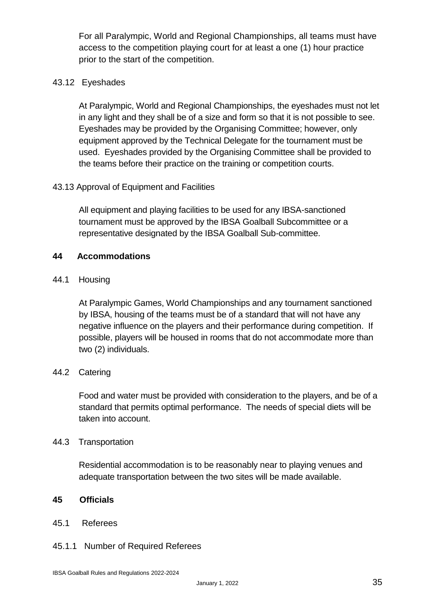For all Paralympic, World and Regional Championships, all teams must have access to the competition playing court for at least a one (1) hour practice prior to the start of the competition.

#### 43.12 Eyeshades

At Paralympic, World and Regional Championships, the eyeshades must not let in any light and they shall be of a size and form so that it is not possible to see. Eyeshades may be provided by the Organising Committee; however, only equipment approved by the Technical Delegate for the tournament must be used. Eyeshades provided by the Organising Committee shall be provided to the teams before their practice on the training or competition courts.

#### 43.13 Approval of Equipment and Facilities

All equipment and playing facilities to be used for any IBSA-sanctioned tournament must be approved by the IBSA Goalball Subcommittee or a representative designated by the IBSA Goalball Sub-committee.

#### **44 Accommodations**

44.1 Housing

At Paralympic Games, World Championships and any tournament sanctioned by IBSA, housing of the teams must be of a standard that will not have any negative influence on the players and their performance during competition. If possible, players will be housed in rooms that do not accommodate more than two (2) individuals.

#### 44.2 Catering

Food and water must be provided with consideration to the players, and be of a standard that permits optimal performance. The needs of special diets will be taken into account.

#### 44.3 Transportation

Residential accommodation is to be reasonably near to playing venues and adequate transportation between the two sites will be made available.

#### **45 Officials**

#### 45.1 Referees

#### 45.1.1 Number of Required Referees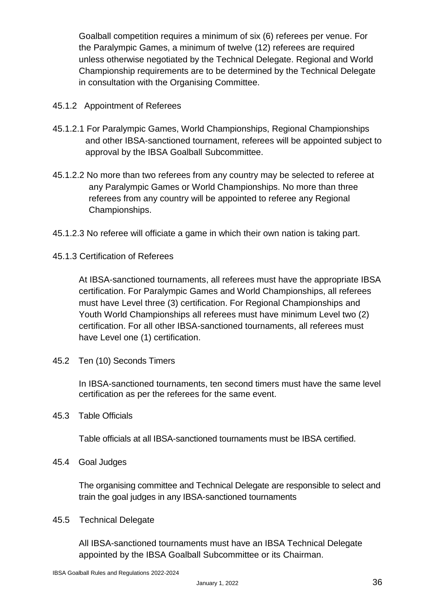Goalball competition requires a minimum of six (6) referees per venue. For the Paralympic Games, a minimum of twelve (12) referees are required unless otherwise negotiated by the Technical Delegate. Regional and World Championship requirements are to be determined by the Technical Delegate in consultation with the Organising Committee.

- 45.1.2 Appointment of Referees
- 45.1.2.1 For Paralympic Games, World Championships, Regional Championships and other IBSA-sanctioned tournament, referees will be appointed subject to approval by the IBSA Goalball Subcommittee.
- 45.1.2.2 No more than two referees from any country may be selected to referee at any Paralympic Games or World Championships. No more than three referees from any country will be appointed to referee any Regional Championships.
- 45.1.2.3 No referee will officiate a game in which their own nation is taking part.
- 45.1.3 Certification of Referees

At IBSA-sanctioned tournaments, all referees must have the appropriate IBSA certification. For Paralympic Games and World Championships, all referees must have Level three (3) certification. For Regional Championships and Youth World Championships all referees must have minimum Level two (2) certification. For all other IBSA-sanctioned tournaments, all referees must have Level one (1) certification.

45.2 Ten (10) Seconds Timers

In IBSA-sanctioned tournaments, ten second timers must have the same level certification as per the referees for the same event.

45.3 Table Officials

Table officials at all IBSA-sanctioned tournaments must be IBSA certified.

45.4 Goal Judges

The organising committee and Technical Delegate are responsible to select and train the goal judges in any IBSA-sanctioned tournaments

45.5 Technical Delegate

All IBSA-sanctioned tournaments must have an IBSA Technical Delegate appointed by the IBSA Goalball Subcommittee or its Chairman.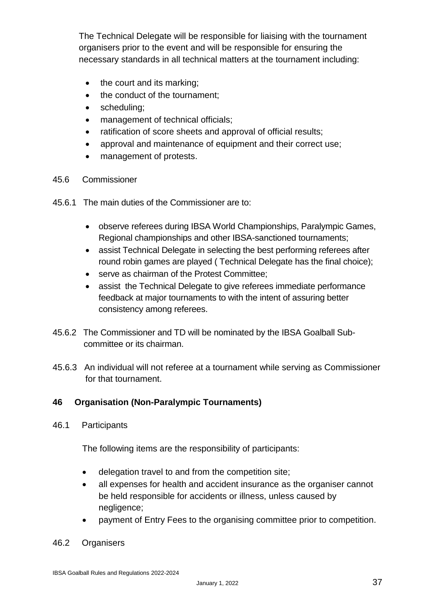The Technical Delegate will be responsible for liaising with the tournament organisers prior to the event and will be responsible for ensuring the necessary standards in all technical matters at the tournament including:

- the court and its marking;
- the conduct of the tournament;
- scheduling;
- management of technical officials;
- ratification of score sheets and approval of official results;
- approval and maintenance of equipment and their correct use;
- management of protests.
- 45.6 Commissioner
- 45.6.1 The main duties of the Commissioner are to:
	- observe referees during IBSA World Championships, Paralympic Games, Regional championships and other IBSA-sanctioned tournaments;
	- assist Technical Delegate in selecting the best performing referees after round robin games are played ( Technical Delegate has the final choice);
	- serve as chairman of the Protest Committee;
	- assist the Technical Delegate to give referees immediate performance feedback at major tournaments to with the intent of assuring better consistency among referees.
- 45.6.2 The Commissioner and TD will be nominated by the IBSA Goalball Subcommittee or its chairman.
- 45.6.3 An individual will not referee at a tournament while serving as Commissioner for that tournament.

#### **46 Organisation (Non-Paralympic Tournaments)**

46.1 Participants

The following items are the responsibility of participants:

- delegation travel to and from the competition site;
- all expenses for health and accident insurance as the organiser cannot be held responsible for accidents or illness, unless caused by negligence;
- payment of Entry Fees to the organising committee prior to competition.
- 46.2 Organisers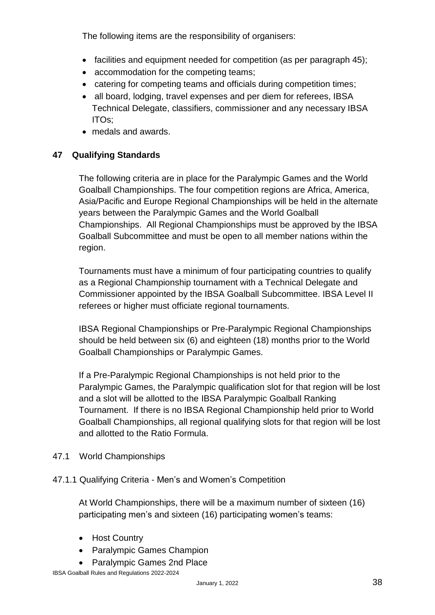The following items are the responsibility of organisers:

- facilities and equipment needed for competition (as per paragraph 45);
- accommodation for the competing teams;
- catering for competing teams and officials during competition times;
- all board, lodging, travel expenses and per diem for referees, IBSA Technical Delegate, classifiers, commissioner and any necessary IBSA ITOs;
- medals and awards.

#### **47 Qualifying Standards**

The following criteria are in place for the Paralympic Games and the World Goalball Championships. The four competition regions are Africa, America, Asia/Pacific and Europe Regional Championships will be held in the alternate years between the Paralympic Games and the World Goalball Championships. All Regional Championships must be approved by the IBSA Goalball Subcommittee and must be open to all member nations within the region.

Tournaments must have a minimum of four participating countries to qualify as a Regional Championship tournament with a Technical Delegate and Commissioner appointed by the IBSA Goalball Subcommittee. IBSA Level II referees or higher must officiate regional tournaments.

IBSA Regional Championships or Pre-Paralympic Regional Championships should be held between six (6) and eighteen (18) months prior to the World Goalball Championships or Paralympic Games.

If a Pre-Paralympic Regional Championships is not held prior to the Paralympic Games, the Paralympic qualification slot for that region will be lost and a slot will be allotted to the IBSA Paralympic Goalball Ranking Tournament. If there is no IBSA Regional Championship held prior to World Goalball Championships, all regional qualifying slots for that region will be lost and allotted to the Ratio Formula.

47.1 World Championships

#### 47.1.1 Qualifying Criteria - Men's and Women's Competition

At World Championships, there will be a maximum number of sixteen (16) participating men's and sixteen (16) participating women's teams:

- Host Country
- Paralympic Games Champion
- Paralympic Games 2nd Place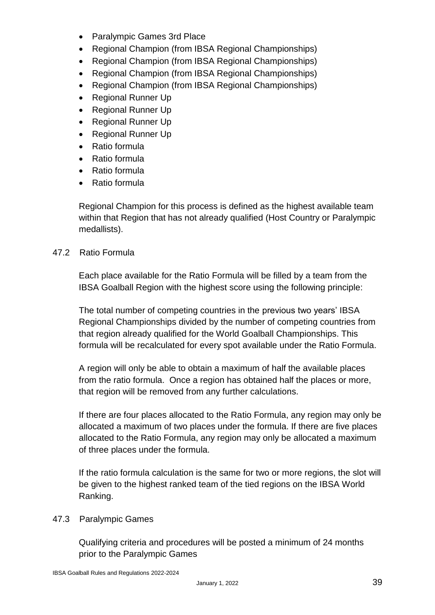- Paralympic Games 3rd Place
- Regional Champion (from IBSA Regional Championships)
- Regional Champion (from IBSA Regional Championships)
- Regional Champion (from IBSA Regional Championships)
- Regional Champion (from IBSA Regional Championships)
- Regional Runner Up
- Regional Runner Up
- Regional Runner Up
- Regional Runner Up
- Ratio formula
- Ratio formula
- Ratio formula
- Ratio formula

Regional Champion for this process is defined as the highest available team within that Region that has not already qualified (Host Country or Paralympic medallists).

#### 47.2 Ratio Formula

Each place available for the Ratio Formula will be filled by a team from the IBSA Goalball Region with the highest score using the following principle:

The total number of competing countries in the previous two years' IBSA Regional Championships divided by the number of competing countries from that region already qualified for the World Goalball Championships. This formula will be recalculated for every spot available under the Ratio Formula.

A region will only be able to obtain a maximum of half the available places from the ratio formula. Once a region has obtained half the places or more, that region will be removed from any further calculations.

If there are four places allocated to the Ratio Formula, any region may only be allocated a maximum of two places under the formula. If there are five places allocated to the Ratio Formula, any region may only be allocated a maximum of three places under the formula.

If the ratio formula calculation is the same for two or more regions, the slot will be given to the highest ranked team of the tied regions on the IBSA World Ranking.

#### 47.3 Paralympic Games

Qualifying criteria and procedures will be posted a minimum of 24 months prior to the Paralympic Games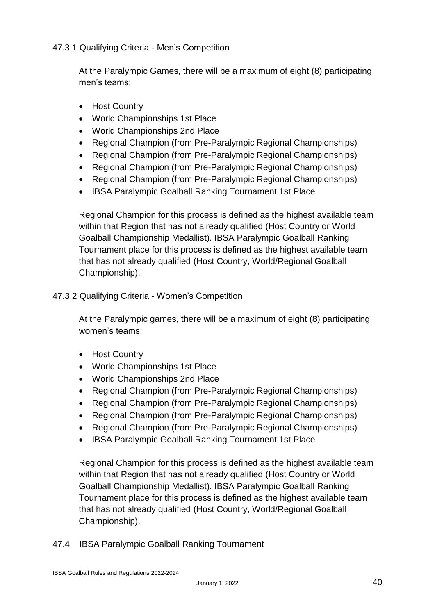#### 47.3.1 Qualifying Criteria - Men's Competition

At the Paralympic Games, there will be a maximum of eight (8) participating men's teams:

- Host Country
- World Championships 1st Place
- World Championships 2nd Place
- Regional Champion (from Pre-Paralympic Regional Championships)
- Regional Champion (from Pre-Paralympic Regional Championships)
- Regional Champion (from Pre-Paralympic Regional Championships)
- Regional Champion (from Pre-Paralympic Regional Championships)
- IBSA Paralympic Goalball Ranking Tournament 1st Place

Regional Champion for this process is defined as the highest available team within that Region that has not already qualified (Host Country or World Goalball Championship Medallist). IBSA Paralympic Goalball Ranking Tournament place for this process is defined as the highest available team that has not already qualified (Host Country, World/Regional Goalball Championship).

#### 47.3.2 Qualifying Criteria - Women's Competition

At the Paralympic games, there will be a maximum of eight (8) participating women's teams:

- Host Country
- World Championships 1st Place
- World Championships 2nd Place
- Regional Champion (from Pre-Paralympic Regional Championships)
- Regional Champion (from Pre-Paralympic Regional Championships)
- Regional Champion (from Pre-Paralympic Regional Championships)
- Regional Champion (from Pre-Paralympic Regional Championships)
- IBSA Paralympic Goalball Ranking Tournament 1st Place

Regional Champion for this process is defined as the highest available team within that Region that has not already qualified (Host Country or World Goalball Championship Medallist). IBSA Paralympic Goalball Ranking Tournament place for this process is defined as the highest available team that has not already qualified (Host Country, World/Regional Goalball Championship).

47.4 IBSA Paralympic Goalball Ranking Tournament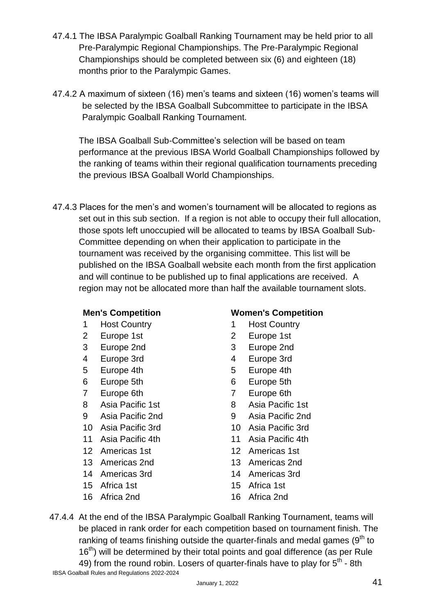- 47.4.1 The IBSA Paralympic Goalball Ranking Tournament may be held prior to all Pre-Paralympic Regional Championships. The Pre-Paralympic Regional Championships should be completed between six (6) and eighteen (18) months prior to the Paralympic Games.
- 47.4.2 A maximum of sixteen (16) men's teams and sixteen (16) women's teams will be selected by the IBSA Goalball Subcommittee to participate in the IBSA Paralympic Goalball Ranking Tournament.

The IBSA Goalball Sub-Committee's selection will be based on team performance at the previous IBSA World Goalball Championships followed by the ranking of teams within their regional qualification tournaments preceding the previous IBSA Goalball World Championships.

47.4.3 Places for the men's and women's tournament will be allocated to regions as set out in this sub section. If a region is not able to occupy their full allocation, those spots left unoccupied will be allocated to teams by IBSA Goalball Sub-Committee depending on when their application to participate in the tournament was received by the organising committee. This list will be published on the IBSA Goalball website each month from the first application and will continue to be published up to final applications are received. A region may not be allocated more than half the available tournament slots.

- 1 Host Country 1 Host Country
- 2 Europe 1st 2 Europe 1st
- 
- 4 Europe 3rd **4 Europe 3rd**
- 5 Europe 4th 5 Europe 4th
- 
- 
- 8 Asia Pacific 1st 8 Asia Pacific 1st
- 9 Asia Pacific 2nd 9 Asia Pacific 2nd
- 10 Asia Pacific 3rd 10 Asia Pacific 3rd
- 
- 
- 13 Americas 2nd 13 Americas 2nd
- 14 Americas 3rd 14 Americas 3rd
- 15 Africa 1st 15 Africa 1st
- 16 Africa 2nd 16 Africa 2nd

#### **Men's Competition Women's Competition**

- 
- 
- 3 Europe 2nd 3 Europe 2nd
	-
	-
- 6 Europe 5th 6 Europe 5th
- 7 Europe 6th 7 Europe 6th
	-
	-
	-
- 11 Asia Pacific 4th 11 Asia Pacific 4th
- 12 Americas 1st 12 Americas 1st
	-
	-
	-
	-

IBSA Goalball Rules and Regulations 2022-2024 47.4.4 At the end of the IBSA Paralympic Goalball Ranking Tournament, teams will be placed in rank order for each competition based on tournament finish. The ranking of teams finishing outside the quarter-finals and medal games  $(9<sup>th</sup>$  to 16<sup>th</sup>) will be determined by their total points and goal difference (as per Rule 49) from the round robin. Losers of quarter-finals have to play for  $5<sup>th</sup>$  - 8th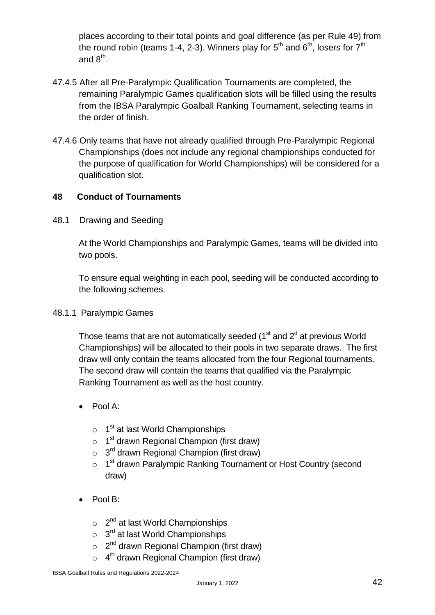places according to their total points and goal difference (as per Rule 49) from the round robin (teams 1-4, 2-3). Winners play for  $5^{\text{th}}$  and  $6^{\text{th}}$ , losers for  $7^{\text{th}}$ and  $8^{\text{th}}$ .

- 47.4.5 After all Pre-Paralympic Qualification Tournaments are completed, the remaining Paralympic Games qualification slots will be filled using the results from the IBSA Paralympic Goalball Ranking Tournament, selecting teams in the order of finish.
- 47.4.6 Only teams that have not already qualified through Pre-Paralympic Regional Championships (does not include any regional championships conducted for the purpose of qualification for World Championships) will be considered for a qualification slot.

#### **48 Conduct of Tournaments**

48.1 Drawing and Seeding

At the World Championships and Paralympic Games, teams will be divided into two pools.

To ensure equal weighting in each pool, seeding will be conducted according to the following schemes.

48.1.1 Paralympic Games

Those teams that are not automatically seeded ( $1<sup>st</sup>$  and  $2<sup>d</sup>$  at previous World Championships) will be allocated to their pools in two separate draws. The first draw will only contain the teams allocated from the four Regional tournaments. The second draw will contain the teams that qualified via the Paralympic Ranking Tournament as well as the host country.

- $\bullet$  Pool A:
	- o 1<sup>st</sup> at last World Championships
	- $\circ$  1<sup>st</sup> drawn Regional Champion (first draw)
	- $\circ$  3<sup>rd</sup> drawn Regional Champion (first draw)
	- o 1<sup>st</sup> drawn Paralympic Ranking Tournament or Host Country (second draw)
- Pool B:
	- o 2<sup>nd</sup> at last World Championships
	- $\circ$  3<sup>rd</sup> at last World Championships
	- $\circ$  2<sup>nd</sup> drawn Regional Champion (first draw)
	- $\circ$  4<sup>th</sup> drawn Regional Champion (first draw)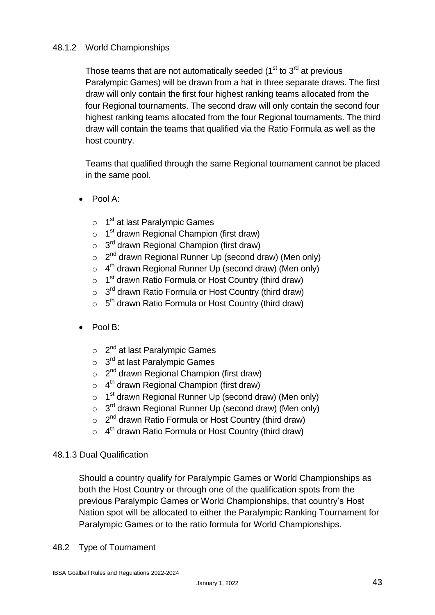#### 48.1.2 World Championships

Those teams that are not automatically seeded  $(1<sup>st</sup>$  to  $3<sup>rd</sup>$  at previous Paralympic Games) will be drawn from a hat in three separate draws. The first draw will only contain the first four highest ranking teams allocated from the four Regional tournaments. The second draw will only contain the second four highest ranking teams allocated from the four Regional tournaments. The third draw will contain the teams that qualified via the Ratio Formula as well as the host country.

Teams that qualified through the same Regional tournament cannot be placed in the same pool.

- Pool A:
	- o 1<sup>st</sup> at last Paralympic Games
	- $\circ$  1<sup>st</sup> drawn Regional Champion (first draw)
	- $\circ$  3<sup>rd</sup> drawn Regional Champion (first draw)
	- $\circ$  2<sup>nd</sup> drawn Regional Runner Up (second draw) (Men only)
	- $\circ$  4<sup>th</sup> drawn Regional Runner Up (second draw) (Men only)
	- o 1<sup>st</sup> drawn Ratio Formula or Host Country (third draw)
	- $\circ$  3<sup>rd</sup> drawn Ratio Formula or Host Country (third draw)
	- $\circ$  5<sup>th</sup> drawn Ratio Formula or Host Country (third draw)
- Pool B:
	- o 2<sup>nd</sup> at last Paralympic Games
	- o 3<sup>rd</sup> at last Paralympic Games
	- $\circ$  2<sup>nd</sup> drawn Regional Champion (first draw)
	- $\circ$  4<sup>th</sup> drawn Regional Champion (first draw)
	- o 1<sup>st</sup> drawn Regional Runner Up (second draw) (Men only)
	- $\circ$  3<sup>rd</sup> drawn Regional Runner Up (second draw) (Men only)
	- $\circ$  2<sup>nd</sup> drawn Ratio Formula or Host Country (third draw)
	- $\circ$  4<sup>th</sup> drawn Ratio Formula or Host Country (third draw)

#### 48.1.3 Dual Qualification

Should a country qualify for Paralympic Games or World Championships as both the Host Country or through one of the qualification spots from the previous Paralympic Games or World Championships, that country's Host Nation spot will be allocated to either the Paralympic Ranking Tournament for Paralympic Games or to the ratio formula for World Championships.

48.2 Type of Tournament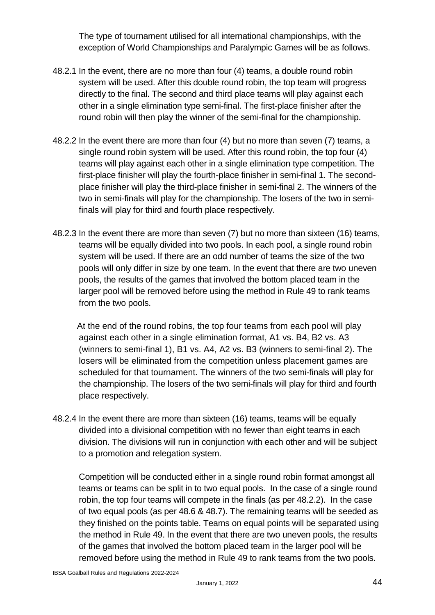The type of tournament utilised for all international championships, with the exception of World Championships and Paralympic Games will be as follows.

- 48.2.1 In the event, there are no more than four (4) teams, a double round robin system will be used. After this double round robin, the top team will progress directly to the final. The second and third place teams will play against each other in a single elimination type semi-final. The first-place finisher after the round robin will then play the winner of the semi-final for the championship.
- 48.2.2 In the event there are more than four (4) but no more than seven (7) teams, a single round robin system will be used. After this round robin, the top four (4) teams will play against each other in a single elimination type competition. The first-place finisher will play the fourth-place finisher in semi-final 1. The secondplace finisher will play the third-place finisher in semi-final 2. The winners of the two in semi-finals will play for the championship. The losers of the two in semifinals will play for third and fourth place respectively.
- 48.2.3 In the event there are more than seven (7) but no more than sixteen (16) teams, teams will be equally divided into two pools. In each pool, a single round robin system will be used. If there are an odd number of teams the size of the two pools will only differ in size by one team. In the event that there are two uneven pools, the results of the games that involved the bottom placed team in the larger pool will be removed before using the method in Rule 49 to rank teams from the two pools.

 At the end of the round robins, the top four teams from each pool will play against each other in a single elimination format, A1 vs. B4, B2 vs. A3 (winners to semi-final 1), B1 vs. A4, A2 vs. B3 (winners to semi-final 2). The losers will be eliminated from the competition unless placement games are scheduled for that tournament. The winners of the two semi-finals will play for the championship. The losers of the two semi-finals will play for third and fourth place respectively.

48.2.4 In the event there are more than sixteen (16) teams, teams will be equally divided into a divisional competition with no fewer than eight teams in each division. The divisions will run in conjunction with each other and will be subject to a promotion and relegation system.

Competition will be conducted either in a single round robin format amongst all teams or teams can be split in to two equal pools. In the case of a single round robin, the top four teams will compete in the finals (as per 48.2.2). In the case of two equal pools (as per 48.6 & 48.7). The remaining teams will be seeded as they finished on the points table. Teams on equal points will be separated using the method in Rule 49. In the event that there are two uneven pools, the results of the games that involved the bottom placed team in the larger pool will be removed before using the method in Rule 49 to rank teams from the two pools.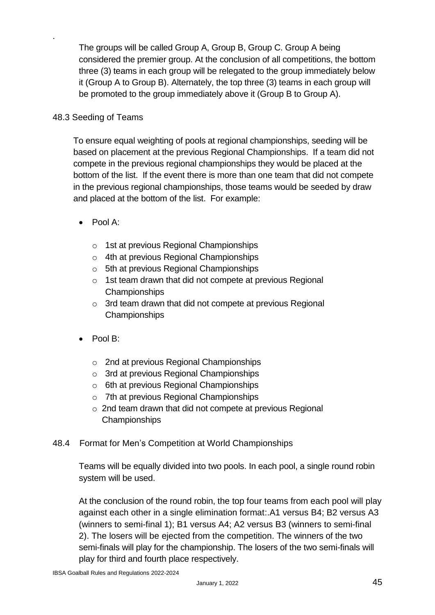The groups will be called Group A, Group B, Group C. Group A being considered the premier group. At the conclusion of all competitions, the bottom three (3) teams in each group will be relegated to the group immediately below it (Group A to Group B). Alternately, the top three (3) teams in each group will be promoted to the group immediately above it (Group B to Group A).

#### 48.3 Seeding of Teams

.

To ensure equal weighting of pools at regional championships, seeding will be based on placement at the previous Regional Championships. If a team did not compete in the previous regional championships they would be placed at the bottom of the list. If the event there is more than one team that did not compete in the previous regional championships, those teams would be seeded by draw and placed at the bottom of the list. For example:

- Pool A:
	- o 1st at previous Regional Championships
	- o 4th at previous Regional Championships
	- o 5th at previous Regional Championships
	- o 1st team drawn that did not compete at previous Regional **Championships**
	- o 3rd team drawn that did not compete at previous Regional Championships
- Pool B:
	- o 2nd at previous Regional Championships
	- o 3rd at previous Regional Championships
	- $\circ$  6th at previous Regional Championships
	- o 7th at previous Regional Championships
	- o 2nd team drawn that did not compete at previous Regional Championships

#### 48.4 Format for Men's Competition at World Championships

Teams will be equally divided into two pools. In each pool, a single round robin system will be used.

At the conclusion of the round robin, the top four teams from each pool will play against each other in a single elimination format:.A1 versus B4; B2 versus A3 (winners to semi-final 1); B1 versus A4; A2 versus B3 (winners to semi-final 2). The losers will be ejected from the competition. The winners of the two semi-finals will play for the championship. The losers of the two semi-finals will play for third and fourth place respectively.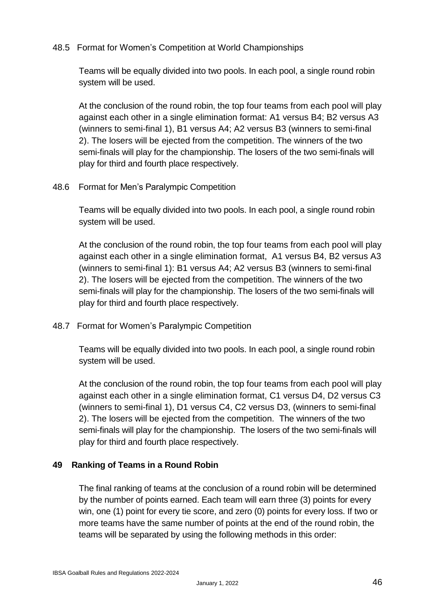#### 48.5 Format for Women's Competition at World Championships

Teams will be equally divided into two pools. In each pool, a single round robin system will be used.

At the conclusion of the round robin, the top four teams from each pool will play against each other in a single elimination format: A1 versus B4; B2 versus A3 (winners to semi-final 1), B1 versus A4; A2 versus B3 (winners to semi-final 2). The losers will be ejected from the competition. The winners of the two semi-finals will play for the championship. The losers of the two semi-finals will play for third and fourth place respectively.

#### 48.6 Format for Men's Paralympic Competition

Teams will be equally divided into two pools. In each pool, a single round robin system will be used.

At the conclusion of the round robin, the top four teams from each pool will play against each other in a single elimination format, A1 versus B4, B2 versus A3 (winners to semi-final 1): B1 versus A4; A2 versus B3 (winners to semi-final 2). The losers will be ejected from the competition. The winners of the two semi-finals will play for the championship. The losers of the two semi-finals will play for third and fourth place respectively.

48.7 Format for Women's Paralympic Competition

Teams will be equally divided into two pools. In each pool, a single round robin system will be used.

At the conclusion of the round robin, the top four teams from each pool will play against each other in a single elimination format, C1 versus D4, D2 versus C3 (winners to semi-final 1), D1 versus C4, C2 versus D3, (winners to semi-final 2). The losers will be ejected from the competition. The winners of the two semi-finals will play for the championship. The losers of the two semi-finals will play for third and fourth place respectively.

#### **49 Ranking of Teams in a Round Robin**

The final ranking of teams at the conclusion of a round robin will be determined by the number of points earned. Each team will earn three (3) points for every win, one (1) point for every tie score, and zero (0) points for every loss. If two or more teams have the same number of points at the end of the round robin, the teams will be separated by using the following methods in this order: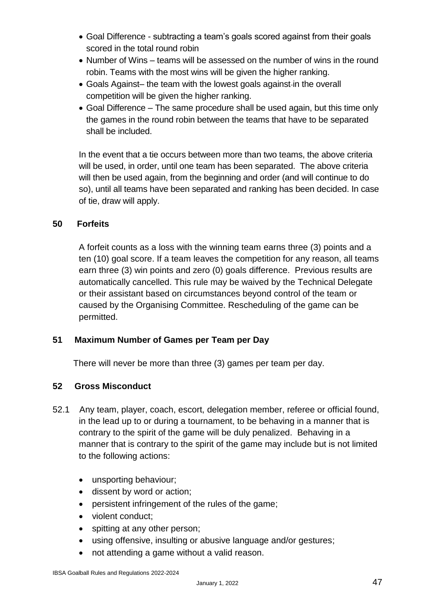- Goal Difference subtracting a team's goals scored against from their goals scored in the total round robin
- Number of Wins teams will be assessed on the number of wins in the round robin. Teams with the most wins will be given the higher ranking.
- Goals Against– the team with the lowest goals against-in the overall competition will be given the higher ranking.
- Goal Difference The same procedure shall be used again, but this time only the games in the round robin between the teams that have to be separated shall be included.

In the event that a tie occurs between more than two teams, the above criteria will be used, in order, until one team has been separated. The above criteria will then be used again, from the beginning and order (and will continue to do so), until all teams have been separated and ranking has been decided. In case of tie, draw will apply.

#### **50 Forfeits**

A forfeit counts as a loss with the winning team earns three (3) points and a ten (10) goal score. If a team leaves the competition for any reason, all teams earn three (3) win points and zero (0) goals difference. Previous results are automatically cancelled. This rule may be waived by the Technical Delegate or their assistant based on circumstances beyond control of the team or caused by the Organising Committee. Rescheduling of the game can be permitted.

#### **51 Maximum Number of Games per Team per Day**

There will never be more than three (3) games per team per day.

#### **52 Gross Misconduct**

- 52.1 Any team, player, coach, escort, delegation member, referee or official found, in the lead up to or during a tournament, to be behaving in a manner that is contrary to the spirit of the game will be duly penalized. Behaving in a manner that is contrary to the spirit of the game may include but is not limited to the following actions:
	- unsporting behaviour;
	- dissent by word or action;
	- persistent infringement of the rules of the game;
	- violent conduct;
	- spitting at any other person;
	- using offensive, insulting or abusive language and/or gestures;
	- not attending a game without a valid reason.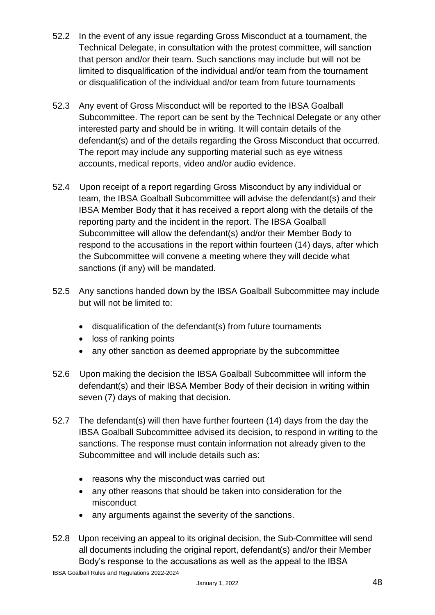- 52.2 In the event of any issue regarding Gross Misconduct at a tournament, the Technical Delegate, in consultation with the protest committee, will sanction that person and/or their team. Such sanctions may include but will not be limited to disqualification of the individual and/or team from the tournament or disqualification of the individual and/or team from future tournaments
- 52.3 Any event of Gross Misconduct will be reported to the IBSA Goalball Subcommittee. The report can be sent by the Technical Delegate or any other interested party and should be in writing. It will contain details of the defendant(s) and of the details regarding the Gross Misconduct that occurred. The report may include any supporting material such as eye witness accounts, medical reports, video and/or audio evidence.
- 52.4 Upon receipt of a report regarding Gross Misconduct by any individual or team, the IBSA Goalball Subcommittee will advise the defendant(s) and their IBSA Member Body that it has received a report along with the details of the reporting party and the incident in the report. The IBSA Goalball Subcommittee will allow the defendant(s) and/or their Member Body to respond to the accusations in the report within fourteen (14) days, after which the Subcommittee will convene a meeting where they will decide what sanctions (if any) will be mandated.
- 52.5 Any sanctions handed down by the IBSA Goalball Subcommittee may include but will not be limited to:
	- disqualification of the defendant(s) from future tournaments
	- loss of ranking points
	- any other sanction as deemed appropriate by the subcommittee
- 52.6 Upon making the decision the IBSA Goalball Subcommittee will inform the defendant(s) and their IBSA Member Body of their decision in writing within seven (7) days of making that decision.
- 52.7 The defendant(s) will then have further fourteen (14) days from the day the IBSA Goalball Subcommittee advised its decision, to respond in writing to the sanctions. The response must contain information not already given to the Subcommittee and will include details such as:
	- reasons why the misconduct was carried out
	- any other reasons that should be taken into consideration for the misconduct
	- any arguments against the severity of the sanctions.
- 52.8 Upon receiving an appeal to its original decision, the Sub-Committee will send all documents including the original report, defendant(s) and/or their Member Body's response to the accusations as well as the appeal to the IBSA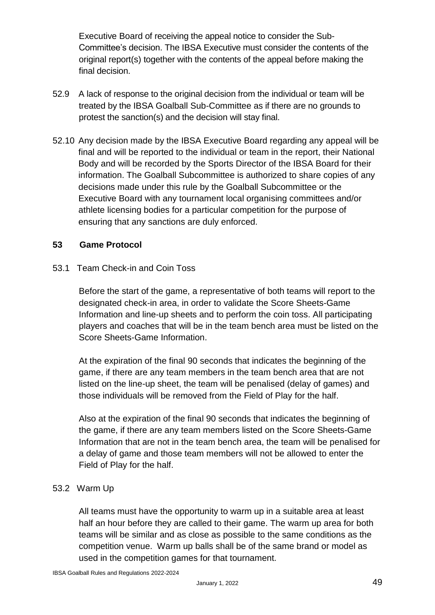Executive Board of receiving the appeal notice to consider the Sub-Committee's decision. The IBSA Executive must consider the contents of the original report(s) together with the contents of the appeal before making the final decision.

- 52.9 A lack of response to the original decision from the individual or team will be treated by the IBSA Goalball Sub-Committee as if there are no grounds to protest the sanction(s) and the decision will stay final.
- 52.10 Any decision made by the IBSA Executive Board regarding any appeal will be final and will be reported to the individual or team in the report, their National Body and will be recorded by the Sports Director of the IBSA Board for their information. The Goalball Subcommittee is authorized to share copies of any decisions made under this rule by the Goalball Subcommittee or the Executive Board with any tournament local organising committees and/or athlete licensing bodies for a particular competition for the purpose of ensuring that any sanctions are duly enforced.

#### **53 Game Protocol**

53.1 Team Check-in and Coin Toss

Before the start of the game, a representative of both teams will report to the designated check-in area, in order to validate the Score Sheets-Game Information and line-up sheets and to perform the coin toss. All participating players and coaches that will be in the team bench area must be listed on the Score Sheets-Game Information.

At the expiration of the final 90 seconds that indicates the beginning of the game, if there are any team members in the team bench area that are not listed on the line-up sheet, the team will be penalised (delay of games) and those individuals will be removed from the Field of Play for the half.

Also at the expiration of the final 90 seconds that indicates the beginning of the game, if there are any team members listed on the Score Sheets-Game Information that are not in the team bench area, the team will be penalised for a delay of game and those team members will not be allowed to enter the Field of Play for the half.

#### 53.2 Warm Up

All teams must have the opportunity to warm up in a suitable area at least half an hour before they are called to their game. The warm up area for both teams will be similar and as close as possible to the same conditions as the competition venue. Warm up balls shall be of the same brand or model as used in the competition games for that tournament.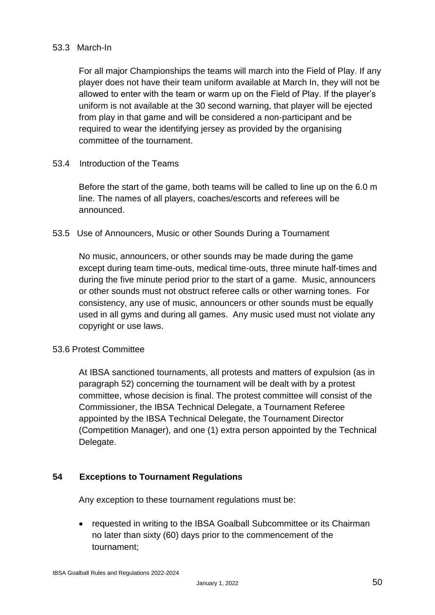#### 53.3 March-In

For all major Championships the teams will march into the Field of Play. If any player does not have their team uniform available at March In, they will not be allowed to enter with the team or warm up on the Field of Play. If the player's uniform is not available at the 30 second warning, that player will be ejected from play in that game and will be considered a non-participant and be required to wear the identifying jersey as provided by the organising committee of the tournament.

#### 53.4 Introduction of the Teams

Before the start of the game, both teams will be called to line up on the 6.0 m line. The names of all players, coaches/escorts and referees will be announced.

#### 53.5 Use of Announcers, Music or other Sounds During a Tournament

No music, announcers, or other sounds may be made during the game except during team time-outs, medical time-outs, three minute half-times and during the five minute period prior to the start of a game. Music, announcers or other sounds must not obstruct referee calls or other warning tones. For consistency, any use of music, announcers or other sounds must be equally used in all gyms and during all games. Any music used must not violate any copyright or use laws.

#### 53.6 Protest Committee

At IBSA sanctioned tournaments, all protests and matters of expulsion (as in paragraph 52) concerning the tournament will be dealt with by a protest committee, whose decision is final. The protest committee will consist of the Commissioner, the IBSA Technical Delegate, a Tournament Referee appointed by the IBSA Technical Delegate, the Tournament Director (Competition Manager), and one (1) extra person appointed by the Technical Delegate.

#### **54 Exceptions to Tournament Regulations**

Any exception to these tournament regulations must be:

• requested in writing to the IBSA Goalball Subcommittee or its Chairman no later than sixty (60) days prior to the commencement of the tournament;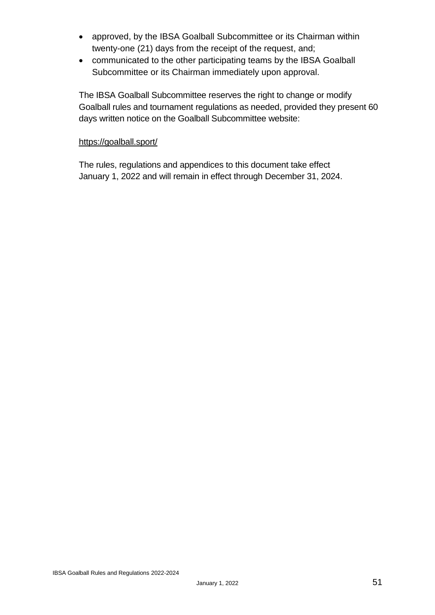- approved, by the IBSA Goalball Subcommittee or its Chairman within twenty-one (21) days from the receipt of the request, and;
- communicated to the other participating teams by the IBSA Goalball Subcommittee or its Chairman immediately upon approval.

The IBSA Goalball Subcommittee reserves the right to change or modify Goalball rules and tournament regulations as needed, provided they present 60 days written notice on the Goalball Subcommittee website:

#### <https://goalball.sport/>

The rules, regulations and appendices to this document take effect January 1, 2022 and will remain in effect through December 31, 2024.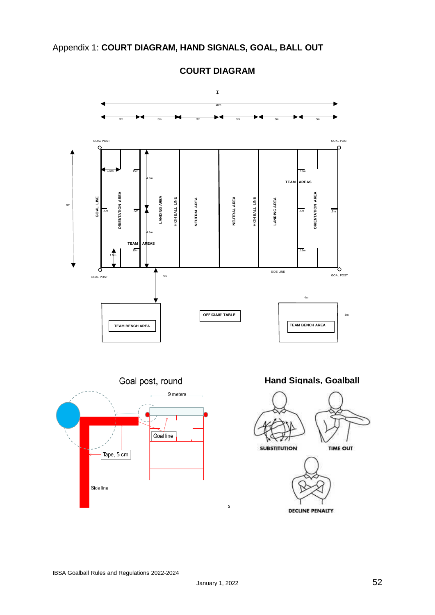

**COURT DIAGRAM**

DECLINE PENALTY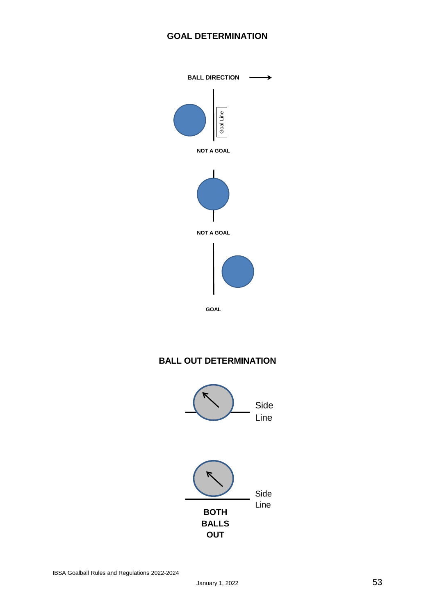#### **GOAL DETERMINATION**



GOAL

#### **BALL OUT DETERMINATION**

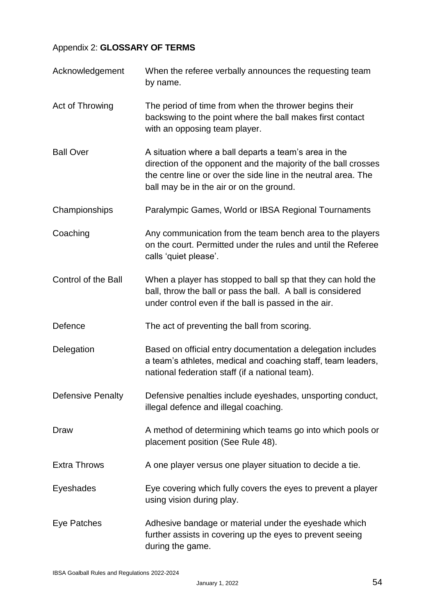#### Appendix 2: **GLOSSARY OF TERMS**

| Acknowledgement            | When the referee verbally announces the requesting team<br>by name.                                                                                                                                                                   |
|----------------------------|---------------------------------------------------------------------------------------------------------------------------------------------------------------------------------------------------------------------------------------|
| Act of Throwing            | The period of time from when the thrower begins their<br>backswing to the point where the ball makes first contact<br>with an opposing team player.                                                                                   |
| <b>Ball Over</b>           | A situation where a ball departs a team's area in the<br>direction of the opponent and the majority of the ball crosses<br>the centre line or over the side line in the neutral area. The<br>ball may be in the air or on the ground. |
| Championships              | Paralympic Games, World or IBSA Regional Tournaments                                                                                                                                                                                  |
| Coaching                   | Any communication from the team bench area to the players<br>on the court. Permitted under the rules and until the Referee<br>calls 'quiet please'.                                                                                   |
| <b>Control of the Ball</b> | When a player has stopped to ball sp that they can hold the<br>ball, throw the ball or pass the ball. A ball is considered<br>under control even if the ball is passed in the air.                                                    |
| Defence                    | The act of preventing the ball from scoring.                                                                                                                                                                                          |
| Delegation                 | Based on official entry documentation a delegation includes<br>a team's athletes, medical and coaching staff, team leaders,<br>national federation staff (if a national team).                                                        |
| <b>Defensive Penalty</b>   | Defensive penalties include eyeshades, unsporting conduct,<br>illegal defence and illegal coaching.                                                                                                                                   |
| Draw                       | A method of determining which teams go into which pools or<br>placement position (See Rule 48).                                                                                                                                       |
| <b>Extra Throws</b>        | A one player versus one player situation to decide a tie.                                                                                                                                                                             |
| Eyeshades                  | Eye covering which fully covers the eyes to prevent a player<br>using vision during play.                                                                                                                                             |
| Eye Patches                | Adhesive bandage or material under the eyeshade which<br>further assists in covering up the eyes to prevent seeing<br>during the game.                                                                                                |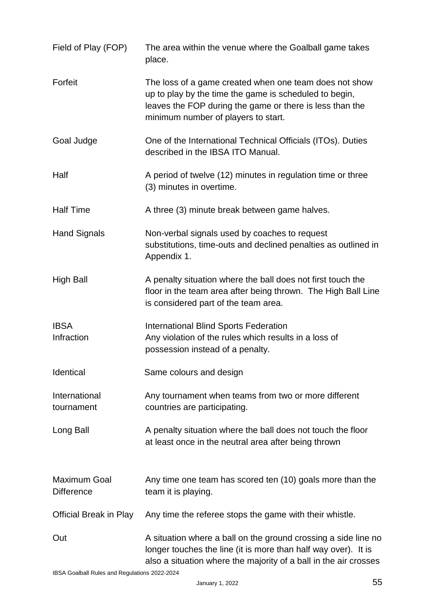| Field of Play (FOP)                      | The area within the venue where the Goalball game takes<br>place.                                                                                                                                                   |
|------------------------------------------|---------------------------------------------------------------------------------------------------------------------------------------------------------------------------------------------------------------------|
| Forfeit                                  | The loss of a game created when one team does not show<br>up to play by the time the game is scheduled to begin,<br>leaves the FOP during the game or there is less than the<br>minimum number of players to start. |
| Goal Judge                               | One of the International Technical Officials (ITOs). Duties<br>described in the IBSA ITO Manual.                                                                                                                    |
| Half                                     | A period of twelve (12) minutes in regulation time or three<br>(3) minutes in overtime.                                                                                                                             |
| <b>Half Time</b>                         | A three (3) minute break between game halves.                                                                                                                                                                       |
| <b>Hand Signals</b>                      | Non-verbal signals used by coaches to request<br>substitutions, time-outs and declined penalties as outlined in<br>Appendix 1.                                                                                      |
| <b>High Ball</b>                         | A penalty situation where the ball does not first touch the<br>floor in the team area after being thrown. The High Ball Line<br>is considered part of the team area.                                                |
| <b>IBSA</b><br>Infraction                | <b>International Blind Sports Federation</b><br>Any violation of the rules which results in a loss of<br>possession instead of a penalty.                                                                           |
| Identical                                | Same colours and design                                                                                                                                                                                             |
| International<br>tournament              | Any tournament when teams from two or more different<br>countries are participating.                                                                                                                                |
| Long Ball                                | A penalty situation where the ball does not touch the floor<br>at least once in the neutral area after being thrown                                                                                                 |
| <b>Maximum Goal</b><br><b>Difference</b> | Any time one team has scored ten (10) goals more than the<br>team it is playing.                                                                                                                                    |
| <b>Official Break in Play</b>            | Any time the referee stops the game with their whistle.                                                                                                                                                             |
| Out                                      | A situation where a ball on the ground crossing a side line no<br>longer touches the line (it is more than half way over). It is<br>also a situation where the majority of a ball in the air crosses                |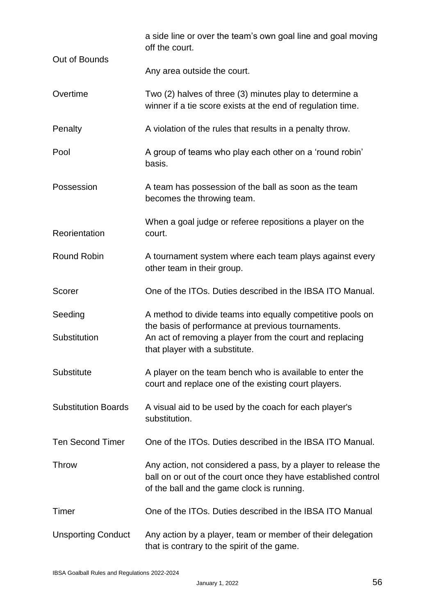|                            | a side line or over the team's own goal line and goal moving<br>off the court.                                                                                                                                |
|----------------------------|---------------------------------------------------------------------------------------------------------------------------------------------------------------------------------------------------------------|
| Out of Bounds              | Any area outside the court.                                                                                                                                                                                   |
| Overtime                   | Two (2) halves of three (3) minutes play to determine a<br>winner if a tie score exists at the end of regulation time.                                                                                        |
| Penalty                    | A violation of the rules that results in a penalty throw.                                                                                                                                                     |
| Pool                       | A group of teams who play each other on a 'round robin'<br>basis.                                                                                                                                             |
| Possession                 | A team has possession of the ball as soon as the team<br>becomes the throwing team.                                                                                                                           |
| Reorientation              | When a goal judge or referee repositions a player on the<br>court.                                                                                                                                            |
| <b>Round Robin</b>         | A tournament system where each team plays against every<br>other team in their group.                                                                                                                         |
| Scorer                     | One of the ITOs. Duties described in the IBSA ITO Manual.                                                                                                                                                     |
| Seeding<br>Substitution    | A method to divide teams into equally competitive pools on<br>the basis of performance at previous tournaments.<br>An act of removing a player from the court and replacing<br>that player with a substitute. |
| Substitute                 | A player on the team bench who is available to enter the<br>court and replace one of the existing court players.                                                                                              |
| <b>Substitution Boards</b> | A visual aid to be used by the coach for each player's<br>substitution.                                                                                                                                       |
| <b>Ten Second Timer</b>    | One of the ITOs. Duties described in the IBSA ITO Manual.                                                                                                                                                     |
| <b>Throw</b>               | Any action, not considered a pass, by a player to release the<br>ball on or out of the court once they have established control<br>of the ball and the game clock is running.                                 |
| Timer                      | One of the ITOs. Duties described in the IBSA ITO Manual                                                                                                                                                      |
| <b>Unsporting Conduct</b>  | Any action by a player, team or member of their delegation<br>that is contrary to the spirit of the game.                                                                                                     |